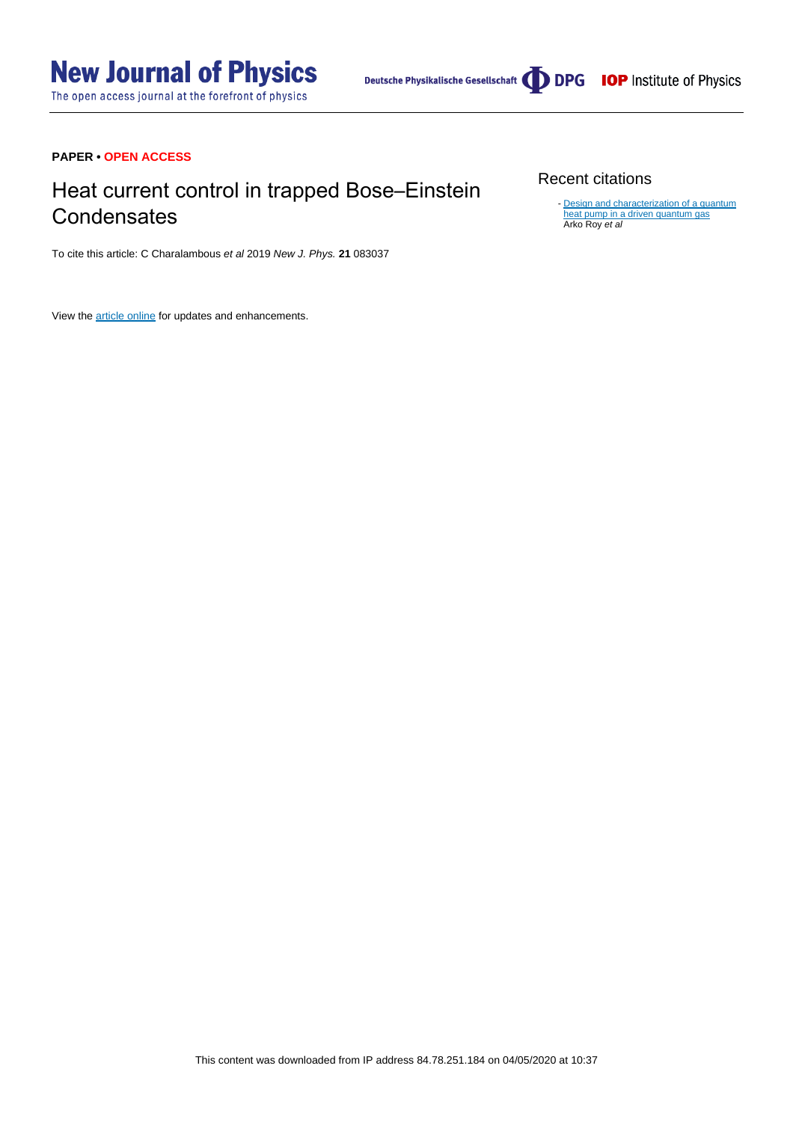## **PAPER • OPEN ACCESS**

# Heat current control in trapped Bose–Einstein **Condensates**

To cite this article: C Charalambous et al 2019 New J. Phys. **21** 083037

View the [article online](https://doi.org/10.1088/1367-2630/ab3832) for updates and enhancements.

## Recent citations

[Design and characterization of a quantum](http://dx.doi.org/10.1103/PhysRevE.101.042109) [heat pump in a driven quantum gas](http://dx.doi.org/10.1103/PhysRevE.101.042109)<br>Arko Roy *et al* -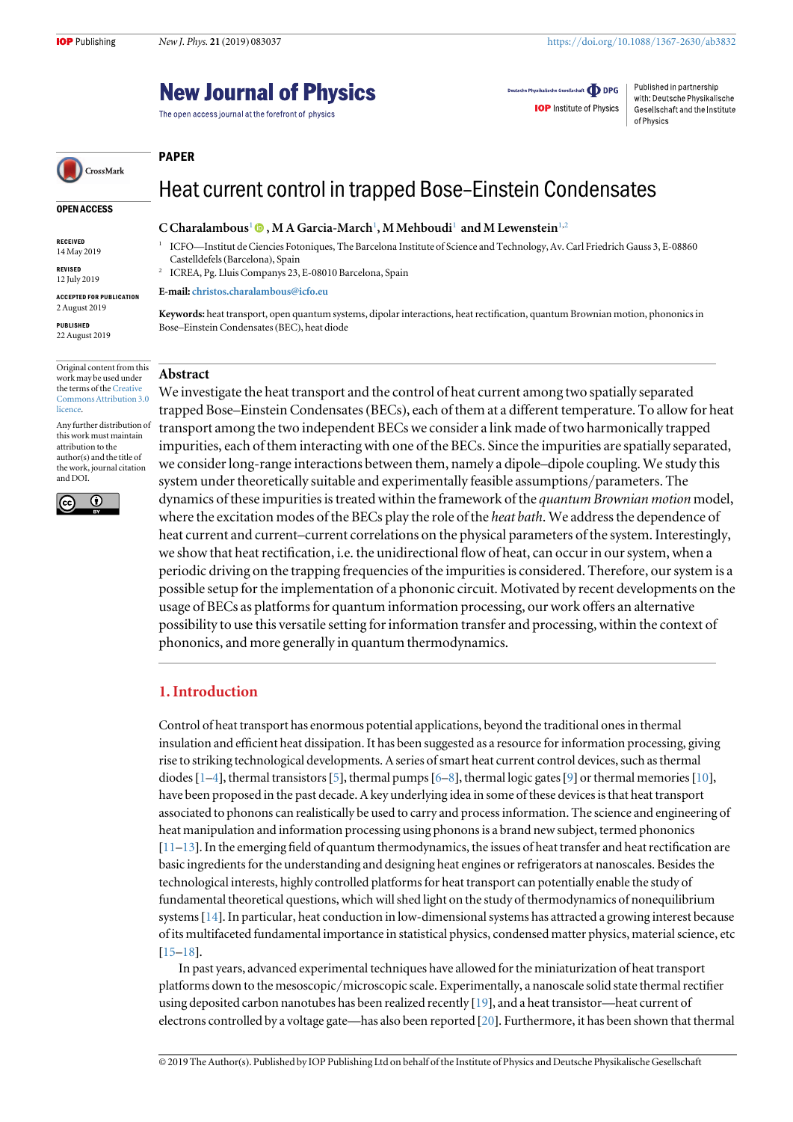OPEN ACCESS

CrossMark

RECEIVED 14 May 2019 REVISED 12 July 2019 ACCEPTED FOR PUBLICATION 2 August 2019 PUBLISHED 22 August 2019

## **New Journal of Physics**

The open access journal at the forefront of physics

Deutsche Physikalische Gesellschaft **ODPG IOP** Institute of Physics

Published in partnership with: Deutsche Physikalische Gesellschaft and the Institute of Physics

## PAPER

## Heat current control in trapped Bose–Einstein Condensates

#### C Charalambous<sup>1</sup>  $\bullet$  , M A Garcia-March<sup>1</sup>, M Mehboudi<sup>1</sup> and M Lewenstein<sup>1,2</sup>

<sup>1</sup> ICFO—Institut de Ciencies Fotoniques, The Barcelona Institute of Science and Technology, Av. Carl Friedrich Gauss 3, E-08860 Castelldefels(Barcelona), Spain

<sup>2</sup> ICREA, Pg. Lluis Companys 23, E-08010 Barcelona, Spain

E-mail: [christos.charalambous@icfo.eu](mailto:christos.charalambous@icfo.eu)

Keywords: heat transport, open quantum systems, dipolar interactions, heat rectification, quantum Brownian motion, phononics in Bose–Einstein Condensates(BEC), heat diode

#### Original content from this work may be used under the terms of the [Creative](http://creativecommons.org/licenses/by/3.0) [Commons Attribution 3.0](http://creativecommons.org/licenses/by/3.0) [licence.](http://creativecommons.org/licenses/by/3.0)

Any further distribution of this work must maintain attribution to the author(s) and the title of the work, journal citation and DOI.



Abstract

We investigate the heat transport and the control of heat current among two spatially separated trapped Bose–Einstein Condensates(BECs), each of them at a different temperature. To allow for heat transport among the two independent BECs we consider a link made of two harmonically trapped impurities, each of them interacting with one of the BECs. Since the impurities are spatially separated, we consider long-range interactions between them, namely a dipole–dipole coupling. We study this system under theoretically suitable and experimentally feasible assumptions/parameters. The dynamics of these impurities is treated within the framework of the quantum Brownian motion model, where the excitation modes of the BECs play the role of the heat bath. We address the dependence of heat current and current–current correlations on the physical parameters of the system. Interestingly, we show that heat rectification, i.e. the unidirectional flow of heat, can occur in our system, when a periodic driving on the trapping frequencies of the impurities is considered. Therefore, our system is a possible setup for the implementation of a phononic circuit. Motivated by recent developments on the usage of BECs as platforms for quantum information processing, our work offers an alternative possibility to use this versatile setting for information transfer and processing, within the context of phononics, and more generally in quantum thermodynamics.

## 1. Introduction

Control of heat transport has enormous potential applications, beyond the traditional ones in thermal insulation and efficient heat dissipation. It has been suggested as a resource for information processing, giving rise to striking technological developments. A series of smart heat current control devices, such as thermal diodes [[1](#page-17-0)–[4](#page-17-0)], thermal transistors [[5](#page-17-0)], thermal pumps [[6](#page-17-0)–[8](#page-17-0)], thermal logic gates [[9](#page-17-0)] or thermal memories [[10](#page-17-0)], have been proposed in the past decade. A key underlying idea in some of these devices is that heat transport associated to phonons can realistically be used to carry and process information. The science and engineering of heat manipulation and information processing using phonons is a brand new subject, termed phononics  $[11–13]$  $[11–13]$  $[11–13]$  $[11–13]$  $[11–13]$ . In the emerging field of quantum thermodynamics, the issues of heat transfer and heat rectification are basic ingredients for the understanding and designing heat engines or refrigerators at nanoscales. Besides the technological interests, highly controlled platforms for heat transport can potentially enable the study of fundamental theoretical questions, which will shed light on the study of thermodynamics of nonequilibrium systems[[14](#page-17-0)]. In particular, heat conduction in low-dimensional systems has attracted a growing interest because of its multifaceted fundamental importance in statistical physics, condensed matter physics, material science, etc [[15](#page-17-0)–[18](#page-17-0)].

In past years, advanced experimental techniques have allowed for the miniaturization of heat transport platforms down to the mesoscopic/microscopic scale. Experimentally, a nanoscale solid state thermal rectifier using deposited carbon nanotubes has been realized recently [[19](#page-17-0)], and a heat transistor—heat current of electrons controlled by a voltage gate—has also been reported [[20](#page-17-0)]. Furthermore, it has been shown that thermal

© 2019 The Author(s). Published by IOP Publishing Ltd on behalf of the Institute of Physics and Deutsche Physikalische Gesellschaft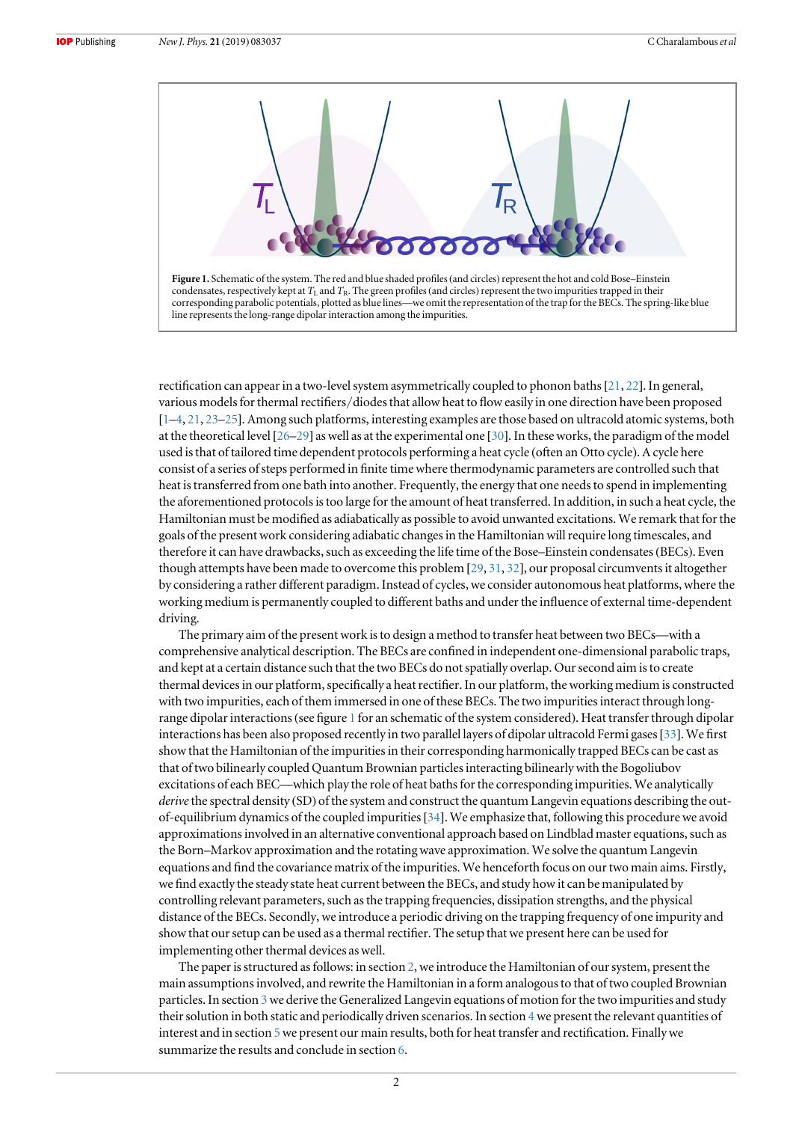

rectification can appear in a two-level system asymmetrically coupled to phonon baths[[21](#page-17-0), [22](#page-17-0)]. In general, various models for thermal rectifiers/diodes that allow heat to flow easily in one direction have been proposed [[1](#page-17-0)–[4,](#page-17-0) [21](#page-17-0), [23](#page-17-0)–[25](#page-17-0)]. Among such platforms, interesting examples are those based on ultracold atomic systems, both at the theoretical level [[26](#page-17-0)–[29](#page-17-0)] as well as at the experimental one [[30](#page-17-0)]. In these works, the paradigm of the model used is that of tailored time dependent protocols performing a heat cycle (often an Otto cycle). A cycle here consist of a series of steps performed in finite time where thermodynamic parameters are controlled such that heat is transferred from one bath into another. Frequently, the energy that one needs to spend in implementing the aforementioned protocols is too large for the amount of heat transferred. In addition, in such a heat cycle, the Hamiltonian must be modified as adiabatically as possible to avoid unwanted excitations. We remark that for the goals of the present work considering adiabatic changes in the Hamiltonian will require long timescales, and therefore it can have drawbacks, such as exceeding the life time of the Bose–Einstein condensates(BECs). Even though attempts have been made to overcome this problem [[29](#page-17-0), [31,](#page-17-0) [32](#page-17-0)], our proposal circumvents it altogether by considering a rather different paradigm. Instead of cycles, we consider autonomous heat platforms, where the working medium is permanently coupled to different baths and under the influence of external time-dependent driving.

The primary aim of the present work is to design a method to transfer heat between two BECs—with a comprehensive analytical description. The BECs are confined in independent one-dimensional parabolic traps, and kept at a certain distance such that the two BECs do not spatially overlap. Our second aim is to create thermal devices in our platform, specifically a heat rectifier. In our platform, the working medium is constructed with two impurities, each of them immersed in one of these BECs. The two impurities interact through longrange dipolar interactions(see figure 1 for an schematic of the system considered). Heat transfer through dipolar interactions has been also proposed recently in two parallel layers of dipolar ultracold Fermi gases[[33](#page-17-0)]. We first show that the Hamiltonian of the impurities in their corresponding harmonically trapped BECs can be cast as that of two bilinearly coupled Quantum Brownian particles interacting bilinearly with the Bogoliubov excitations of each BEC—which play the role of heat baths for the corresponding impurities. We analytically derive the spectral density (SD) of the system and construct the quantum Langevin equations describing the outof-equilibrium dynamics of the coupled impurities[[34](#page-17-0)]. We emphasize that, following this procedure we avoid approximations involved in an alternative conventional approach based on Lindblad master equations, such as the Born–Markov approximation and the rotating wave approximation. We solve the quantum Langevin equations and find the covariance matrix of the impurities. We henceforth focus on our two main aims. Firstly, we find exactly the steady state heat current between the BECs, and study how it can be manipulated by controlling relevant parameters, such as the trapping frequencies, dissipation strengths, and the physical distance of the BECs. Secondly, we introduce a periodic driving on the trapping frequency of one impurity and show that our setup can be used as a thermal rectifier. The setup that we present here can be used for implementing other thermal devices as well.

The paper is structured as follows: in section [2,](#page-3-0) we introduce the Hamiltonian of our system, present the main assumptions involved, and rewrite the Hamiltonian in a form analogous to that of two coupled Brownian particles. In section [3](#page-6-0) we derive the Generalized Langevin equations of motion for the two impurities and study their solution in both static and periodically driven scenarios. In section [4](#page-9-0) we present the relevant quantities of interest and in section [5](#page-12-0)we present our main results, both for heat transfer and rectification. Finally we summarize the results and conclude in section [6.](#page-15-0)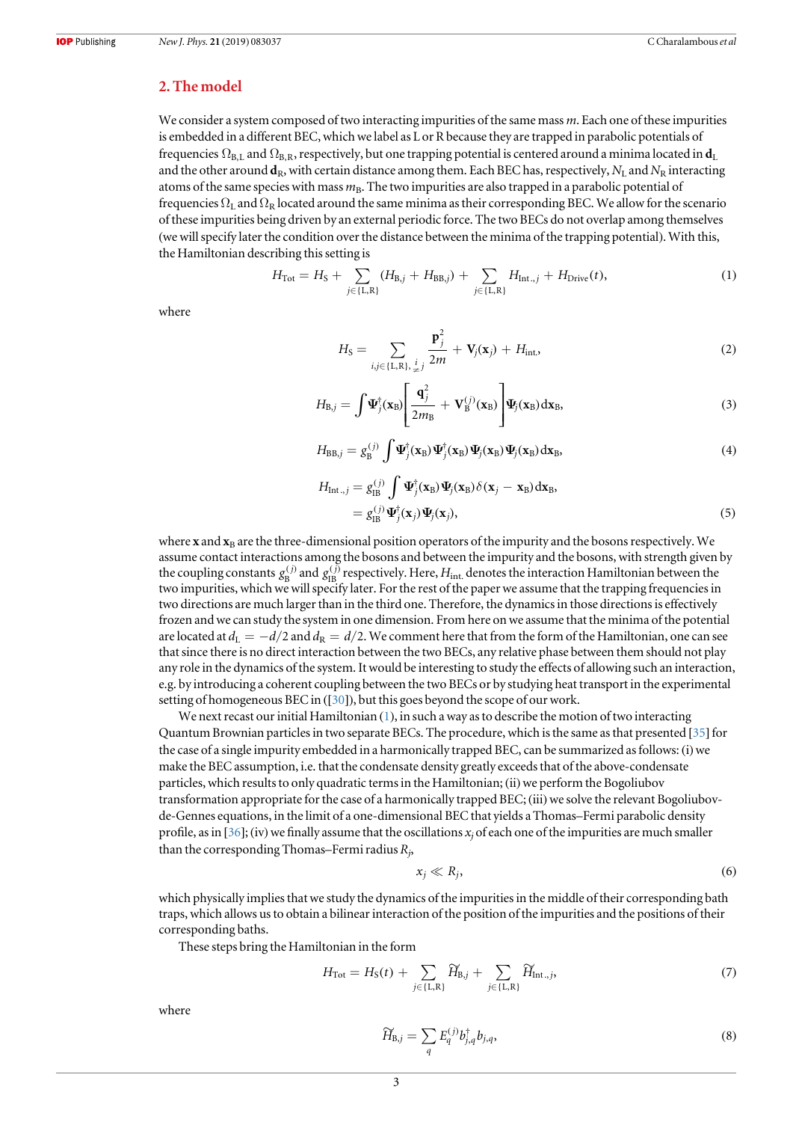## <span id="page-3-0"></span>2. The model

We consider a system composed of two interacting impurities of the same mass m. Each one of these impurities is embedded in a different BEC, which we label as L or R because they are trapped in parabolic potentials of frequencies  $\Omega_{\text{BL}}$  and  $\Omega_{\text{BR}}$ , respectively, but one trapping potential is centered around a minima located in  $\mathbf{d}_L$ and the other around  $\bf{d}_R$ , with certain distance among them. Each BEC has, respectively,  $N_L$  and  $N_R$  interacting atoms of the same species with mass  $m_B$ . The two impurities are also trapped in a parabolic potential of frequencies  $\Omega_L$  and  $\Omega_R$  located around the same minima as their corresponding BEC. We allow for the scenario of these impurities being driven by an external periodic force. The two BECs do not overlap among themselves (we will specify later the condition over the distance between the minima of the trapping potential). With this, the Hamiltonian describing this setting is

$$
H_{\text{Tot}} = H_{\text{S}} + \sum_{j \in \{\text{L}, \text{R}\}} (H_{\text{B},j} + H_{\text{BB},j}) + \sum_{j \in \{\text{L}, \text{R}\}} H_{\text{Int},j} + H_{\text{Dirive}}(t), \tag{1}
$$

where

$$
H_{\rm S} = \sum_{i,j \in \{\rm L,R\}, \frac{j}{\neq j}} \frac{\mathbf{p}_j^2}{2m} + \mathbf{V}_j(\mathbf{x}_j) + H_{\rm int.}
$$
 (2)

$$
H_{\mathrm{B},j} = \int \Psi_j^{\dagger}(\mathbf{x}_{\mathrm{B}}) \left[ \frac{\mathbf{q}_j^2}{2m_{\mathrm{B}}} + \mathbf{V}_{\mathrm{B}}^{(j)}(\mathbf{x}_{\mathrm{B}}) \right] \Psi_j(\mathbf{x}_{\mathrm{B}}) d\mathbf{x}_{\mathrm{B}}, \tag{3}
$$

$$
H_{\text{BB},j} = g_{\text{B}}^{(j)} \int \Psi_j^{\dagger}(\mathbf{x}_{\text{B}}) \Psi_j^{\dagger}(\mathbf{x}_{\text{B}}) \Psi_j(\mathbf{x}_{\text{B}}) \Psi_j(\mathbf{x}_{\text{B}}) d\mathbf{x}_{\text{B}}, \tag{4}
$$

$$
H_{\text{Int.,}j} = g_{\text{IB}}^{(j)} \int \Psi_j^{\dagger}(\mathbf{x}_{\text{B}}) \Psi_j(\mathbf{x}_{\text{B}}) \delta(\mathbf{x}_j - \mathbf{x}_{\text{B}}) d\mathbf{x}_{\text{B}},
$$
  
=  $g_{\text{IB}}^{(j)} \Psi_j^{\dagger}(\mathbf{x}_j) \Psi_j(\mathbf{x}_j),$  (5)

where **x** and  $\mathbf{x}_B$  are the three-dimensional position operators of the impurity and the bosons respectively. We assume contact interactions among the bosons and between the impurity and the bosons, with strength given by the coupling constants  $g_B^{(j)}$  and  $g_B^{(j)}$  respectively. Here,  $H_{int}$  denotes the interaction Hamiltonian between the two impurities, which we will specify later. For the rest of the paper we assume that the trapping frequencies in two directions are much larger than in the third one. Therefore, the dynamics in those directions is effectively frozen and we can study the system in one dimension. From here on we assume that the minima of the potential are located at  $d_L = -d/2$  and  $d_R = d/2$ . We comment here that from the form of the Hamiltonian, one can see that since there is no direct interaction between the two BECs, any relative phase between them should not play any role in the dynamics of the system. It would be interesting to study the effects of allowing such an interaction, e.g. by introducing a coherent coupling between the two BECs or by studying heat transport in the experimental setting of homogeneous BEC in ([[30](#page-17-0)]), but this goes beyond the scope of our work.

We next recast our initial Hamiltonian (1), in such a way as to describe the motion of two interacting Quantum Brownian particles in two separate BECs. The procedure, which is the same as that presented  $[35]$  $[35]$  $[35]$  for the case of a single impurity embedded in a harmonically trapped BEC, can be summarized as follows: (i) we make the BEC assumption, i.e. that the condensate density greatly exceeds that of the above-condensate particles, which results to only quadratic terms in the Hamiltonian; (ii) we perform the Bogoliubov transformation appropriate for the case of a harmonically trapped BEC; (iii) we solve the relevant Bogoliubovde-Gennes equations, in the limit of a one-dimensional BEC that yields a Thomas–Fermi parabolic density profile, as in [[36](#page-17-0)]; (iv) we finally assume that the oscillations  $x_i$  of each one of the impurities are much smaller than the corresponding Thomas–Fermi radius  $R_i$ ,

$$
x_j \ll R_j,\tag{6}
$$

which physically implies that we study the dynamics of the impurities in the middle of their corresponding bath traps, which allows us to obtain a bilinear interaction of the position of the impurities and the positions of their corresponding baths.

These steps bring the Hamiltonian in the form

$$
H_{\text{Tot}} = H_{\text{S}}(t) + \sum_{j \in \{\text{L}, \text{R}\}} \widetilde{H}_{\text{B},j} + \sum_{j \in \{\text{L}, \text{R}\}} \widetilde{H}_{\text{int., }j},\tag{7}
$$

where

$$
\widetilde{H}_{B,j} = \sum_{q} E_q^{(j)} b_{j,q}^{\dagger} b_{j,q}, \tag{8}
$$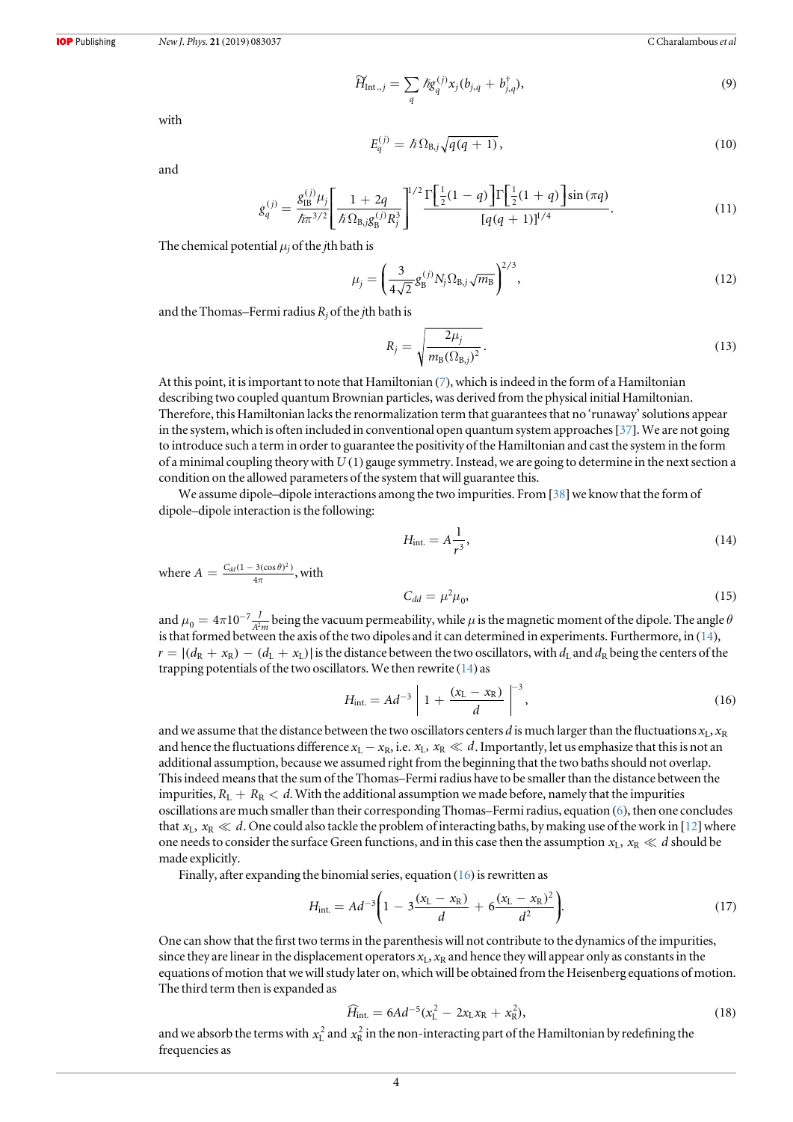$$
\widetilde{H}_{\text{Int.,}j} = \sum_{q} \hbar g_{q}^{(j)} x_j (b_{j,q} + b_{j,q}^{\dagger}), \tag{9}
$$

with

$$
E_q^{(j)} = \hbar \Omega_{\text{B},j} \sqrt{q(q+1)},\tag{10}
$$

and

$$
g_q^{(j)} = \frac{g_{\text{IB}}^{(j)} \mu_j}{\hbar \pi^{3/2}} \left[ \frac{1 + 2q}{\hbar \Omega_{\text{B},j} g_{\text{B}}^{(j)} R_j^3} \right]^{1/2} \frac{\Gamma \left[ \frac{1}{2} (1 - q) \right] \Gamma \left[ \frac{1}{2} (1 + q) \right] \sin(\pi q)}{[q(q+1)]^{1/4}}.
$$
(11)

The chemical potential  $\mu_i$  of the *j*th bath is

$$
\mu_j = \left(\frac{3}{4\sqrt{2}} g_B^{(j)} N_j \Omega_{B,j} \sqrt{m_B}\right)^{2/3},\tag{12}
$$

and the Thomas–Fermi radius  $R_j$  of the jth bath is

$$
R_j = \sqrt{\frac{2\mu_j}{m_\text{B}(\Omega_{\text{B},j})^2}}.\tag{13}
$$

At this point, it is important to note that Hamiltonian ([7](#page-3-0)), which is indeed in the form of a Hamiltonian describing two coupled quantum Brownian particles, was derived from the physical initial Hamiltonian. Therefore, this Hamiltonian lacks the renormalization term that guarantees that no 'runaway'solutions appear in the system, which is often included in conventional open quantum system approaches[[37](#page-17-0)]. We are not going to introduce such a term in order to guarantee the positivity of the Hamiltonian and cast the system in the form of a minimal coupling theory with *U* ( ) 1 gauge symmetry. Instead, we are going to determine in the next section a condition on the allowed parameters of the system that will guarantee this.

We assume dipole–dipole interactions among the two impurities. From  $[38]$  $[38]$  $[38]$  we know that the form of dipole–dipole interaction is the following:

$$
H_{\rm int.} = A \frac{1}{r^3},\tag{14}
$$

where  $A = \frac{C_{dd} (1 - 3(\cos \theta)^2)}{4\pi}$  $\frac{d^{2}d^{2}(1-3(\cos\theta)^{2})}{4\pi}$ , with

$$
C_{dd} = \mu^2 \mu_0,\tag{15}
$$

and  $\mu_0 = 4\pi 10^{-7} \frac{J}{A^2 m}$  being the vacuum permeability, while  $\mu$  is the magnetic moment of the dipole. The angle  $\theta$ is that formed between the axis of the two dipoles and it can determined in experiments. Furthermore, in (14),  $r = |(d_R + x_R) - (d_L + x_L)|$  is the distance between the two oscillators, with  $d_L$  and  $d_R$  being the centers of the trapping potentials of the two oscillators. We then rewrite  $(14)$  as

$$
H_{\rm int} = Ad^{-3} \left[ 1 + \frac{(x_{\rm L} - x_{\rm R})}{d} \right]^{-3},\tag{16}
$$

and we assume that the distance between the two oscillators centers d is much larger than the fluctuations  $x_L$ ,  $x_R$ and hence the fluctuations difference  $x_L - x_R$ , i.e.  $x_L$ ,  $x_R \ll d$ . Importantly, let us emphasize that this is not an additional assumption, because we assumed right from the beginning that the two baths should not overlap. This indeed means that the sum of the Thomas–Fermi radius have to be smaller than the distance between the impurities,  $R_L + R_R < d$ . With the additional assumption we made before, namely that the impurities oscillations are much smaller than their corresponding Thomas–Fermi radius, equation ([6](#page-3-0)), then one concludes that  $x_L$ ,  $x_R \ll d$ . One could also tackle the problem of interacting baths, by making use of the work in [[12](#page-17-0)] where one needs to consider the surface Green functions, and in this case then the assumption  $x_L$ ,  $x_R \ll d$  should be made explicitly.

Finally, after expanding the binomial series, equation  $(16)$  is rewritten as

$$
H_{\text{int.}} = Ad^{-3} \bigg( 1 - 3 \frac{(x_L - x_R)}{d} + 6 \frac{(x_L - x_R)^2}{d^2} \bigg). \tag{17}
$$

One can show that the first two terms in the parenthesis will not contribute to the dynamics of the impurities, since they are linear in the displacement operators  $x_1$ ,  $x_R$  and hence they will appear only as constants in the equations of motion that we will study later on, which will be obtained from the Heisenberg equations of motion. The third term then is expanded as

$$
\widehat{H}_{\text{int.}} = 6Ad^{-5}(x_{\text{L}}^2 - 2x_{\text{L}}x_{\text{R}} + x_{\text{R}}^2),\tag{18}
$$

and we absorb the terms with  $x_L^2$  and  $x_R^2$  in the non-interacting part of the Hamiltonian by redefining the frequencies as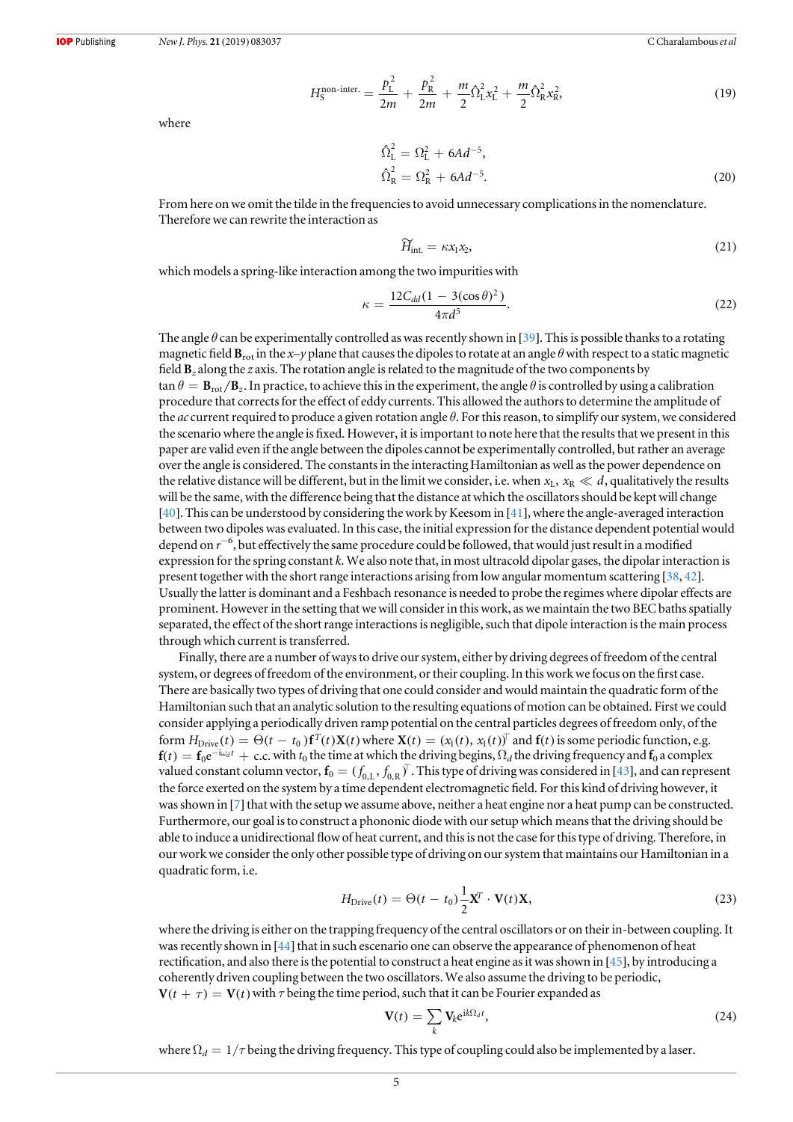$$
H_S^{\text{non-inter.}} = \frac{p_{\text{L}}^2}{2m} + \frac{p_{\text{R}}^2}{2m} + \frac{m}{2} \hat{\Omega}_{\text{L}}^2 x_{\text{L}}^2 + \frac{m}{2} \hat{\Omega}_{\text{R}}^2 x_{\text{R}}^2, \tag{19}
$$

where

$$
\hat{\Omega}_{\rm L}^2 = \Omega_{\rm L}^2 + 6Ad^{-5}, \n\hat{\Omega}_{\rm R}^2 = \Omega_{\rm R}^2 + 6Ad^{-5}.
$$
\n(20)

From here on we omit the tilde in the frequencies to avoid unnecessary complications in the nomenclature. Therefore we can rewrite the interaction as

$$
\widetilde{H}_{\rm int} = \kappa x_1 x_2,\tag{21}
$$

which models a spring-like interaction among the two impurities with

$$
\kappa = \frac{12C_{dd}(1 - 3(\cos \theta)^2)}{4\pi d^5}.
$$
\n(22)

The angle  $\theta$  can be experimentally controlled as was recently shown in [[39](#page-17-0)]. This is possible thanks to a rotating magnetic field  $B_{rot}$  in the x-y plane that causes the dipoles to rotate at an angle  $\theta$  with respect to a static magnetic field  $B_z$  along the z axis. The rotation angle is related to the magnitude of the two components by  $\tan \theta = \mathbf{B}_{\text{rot}}/\mathbf{B}_z$ . In practice, to achieve this in the experiment, the angle  $\theta$  is controlled by using a calibration procedure that corrects for the effect of eddy currents. This allowed the authors to determine the amplitude of the ac current required to produce a given rotation angle  $\theta$ . For this reason, to simplify our system, we considered the scenario where the angle is fixed. However, it is important to note here that the results that we present in this paper are valid even if the angle between the dipoles cannot be experimentally controlled, but rather an average over the angle is considered. The constants in the interacting Hamiltonian as well as the power dependence on the relative distance will be different, but in the limit we consider, i.e. when  $x_L$ ,  $x_R \ll d$ , qualitatively the results will be the same, with the difference being that the distance at which the oscillators should be kept will change [[40](#page-17-0)]. This can be understood by considering the work by Keesom in [[41](#page-17-0)], where the angle-averaged interaction between two dipoles was evaluated. In this case, the initial expression for the distance dependent potential would depend on  $r^{-6}$ , but effectively the same procedure could be followed, that would just result in a modified expression for the spring constant k. We also note that, in most ultracold dipolar gases, the dipolar interaction is present together with the short range interactions arising from low angular momentum scattering [[38,](#page-17-0) [42](#page-17-0)]. Usually the latter is dominant and a Feshbach resonance is needed to probe the regimes where dipolar effects are prominent. However in the setting that we will consider in this work, as we maintain the two BEC baths spatially separated, the effect of the short range interactions is negligible, such that dipole interaction is the main process through which current is transferred.

Finally, there are a number of ways to drive our system, either by driving degrees of freedom of the central system, or degrees of freedom of the environment, or their coupling. In this work we focus on the first case. There are basically two types of driving that one could consider and would maintain the quadratic form of the Hamiltonian such that an analytic solution to the resulting equations of motion can be obtained. First we could consider applying a periodically driven ramp potential on the central particles degrees of freedom only, of the form  $H_{\text{Drive}}(t) = \Theta(t - t_0) \mathbf{f}^T(t) \mathbf{X}(t)$  where  $\mathbf{X}(t) = (x_1(t), x_1(t))^\top$  and  $\mathbf{f}(t)$  is some periodic function, e.g.  $f(t) = f_0 e^{-i\omega_d t} + c.c.$  with  $t_0$  the time at which the driving begins,  $\Omega_d$  the driving frequency and  $f_0$  a complex valued constant column vector,  $f_0 = (f_{0,L}, f_{0,R})^T$ . This type of driving was considered in [[43](#page-17-0)], and can represent the force exerted on the system by a time dependent electromagnetic field. For this kind of driving however, it was shown in [[7](#page-17-0)] that with the setup we assume above, neither a heat engine nor a heat pump can be constructed. Furthermore, our goal is to construct a phononic diode with our setup which means that the driving should be able to induce a unidirectional flow of heat current, and this is not the case for this type of driving. Therefore, in our work we consider the only other possible type of driving on our system that maintains our Hamiltonian in a quadratic form, i.e.

$$
H_{\text{Drive}}(t) = \Theta(t - t_0) \frac{1}{2} \mathbf{X}^T \cdot \mathbf{V}(t) \mathbf{X},\tag{23}
$$

where the driving is either on the trapping frequency of the central oscillators or on their in-between coupling. It was recently shown in [[44](#page-17-0)] that in such escenario one can observe the appearance of phenomenon of heat rectification, and also there is the potential to construct a heat engine as it was shown in [[45](#page-18-0)], by introducing a coherently driven coupling between the two oscillators. We also assume the driving to be periodic,  **with**  $\tau$  **being the time period, such that it can be Fourier expanded as** 

$$
\mathbf{V}(t) = \sum_{k} \mathbf{V}_{k} e^{i k \Omega_{d} t},
$$
\n(24)

where  $\Omega_d = 1/\tau$  being the driving frequency. This type of coupling could also be implemented by a laser.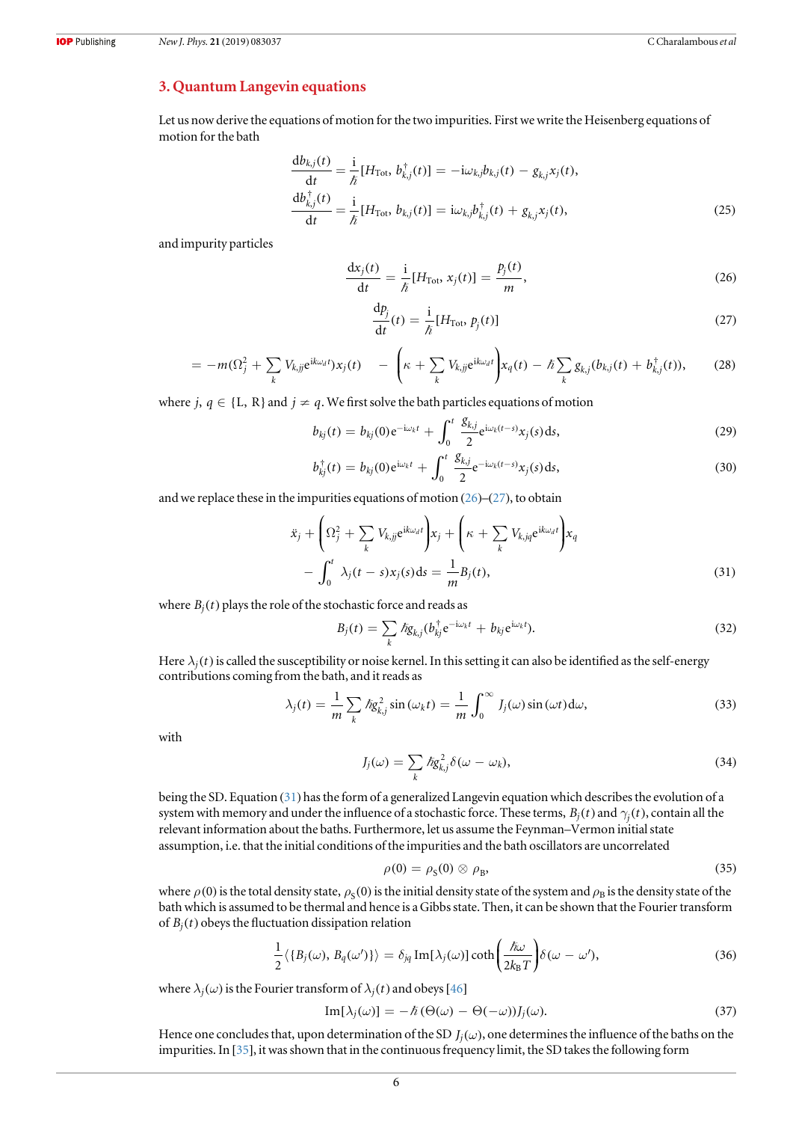## <span id="page-6-0"></span>3. Quantum Langevin equations

Let us now derive the equations of motion for the two impurities. First we write the Heisenberg equations of motion for the bath

$$
\frac{\mathrm{d}b_{kj}(t)}{\mathrm{d}t} = \frac{\mathrm{i}}{\hbar} [H_{\text{Tot}}, b_{kj}^{\dagger}(t)] = -\mathrm{i}\omega_{k,j}b_{kj}(t) - g_{kj}x_j(t),
$$
  
\n
$$
\frac{\mathrm{d}b_{kj}^{\dagger}(t)}{\mathrm{d}t} = \frac{\mathrm{i}}{\hbar} [H_{\text{Tot}}, b_{kj}(t)] = \mathrm{i}\omega_{k,j}b_{kj}^{\dagger}(t) + g_{kj}x_j(t),
$$
\n(25)

and impurity particles

$$
\frac{\mathrm{d}x_j(t)}{\mathrm{d}t} = \frac{\mathrm{i}}{\hbar} [H_{\text{Tot}}, x_j(t)] = \frac{p_j(t)}{m},\tag{26}
$$

$$
\frac{\mathrm{d}p_j}{\mathrm{d}t}(t) = \frac{\mathrm{i}}{\hbar} [H_{\text{Tot}}, p_j(t)] \tag{27}
$$

$$
= -m(\Omega_j^2 + \sum_k V_{k,jj} e^{ik\omega_d t}) x_j(t) - \left(\kappa + \sum_k V_{k,jj} e^{ik\omega_d t}\right) x_q(t) - \hbar \sum_k g_{kj}(b_{kj}(t) + b_{kj}^{\dagger}(t)),
$$
 (28)

where *j*,  $q \in \{L, R\}$  and  $j \neq q$ . We first solve the bath particles equations of motion

$$
b_{kj}(t) = b_{kj}(0)e^{-i\omega_k t} + \int_0^t \frac{g_{k,j}}{2} e^{i\omega_k (t-s)} x_j(s) ds,
$$
\n(29)

$$
b_{kj}^{\dagger}(t) = b_{kj}(0)e^{i\omega_k t} + \int_0^t \frac{g_{k,j}}{2}e^{-i\omega_k(t-s)}x_j(s)ds,
$$
\n(30)

and we replace these in the impurities equations of motion  $(26)$ – $(27)$ , to obtain

$$
\ddot{x}_j + \left(\Omega_j^2 + \sum_k V_{k,jj} e^{ik\omega_d t}\right) x_j + \left(\kappa + \sum_k V_{k,jq} e^{ik\omega_d t}\right) x_q
$$

$$
- \int_0^t \lambda_j (t-s) x_j(s) ds = \frac{1}{m} B_j(t), \tag{31}
$$

where  $B_i(t)$  plays the role of the stochastic force and reads as

$$
B_j(t) = \sum_k \hslash g_{k,j}(b_{kj}^\dagger e^{-i\omega_k t} + b_{kj} e^{i\omega_k t}). \tag{32}
$$

Here  $\lambda_i(t)$  is called the susceptibility or noise kernel. In this setting it can also be identified as the self-energy contributions coming from the bath, and it reads as

$$
\lambda_j(t) = \frac{1}{m} \sum_k \hbar g_{k,j}^2 \sin(\omega_k t) = \frac{1}{m} \int_0^\infty J_j(\omega) \sin(\omega t) d\omega, \tag{33}
$$

with

$$
J_j(\omega) = \sum_k \hbar g_{k,j}^2 \delta(\omega - \omega_k), \tag{34}
$$

being the SD. Equation (31) has the form of a generalized Langevin equation which describes the evolution of a system with memory and under the influence of a stochastic force. These terms,  $B_i(t)$  and  $\gamma_i(t)$ , contain all the relevant information about the baths. Furthermore, let us assume the Feynman–Vermon initial state assumption, i.e. that the initial conditions of the impurities and the bath oscillators are uncorrelated

$$
\rho(0) = \rho_{\rm S}(0) \otimes \rho_{\rm B},\tag{35}
$$

where  $\rho$ (0) is the total density state,  $\rho_s$ (0) is the initial density state of the system and  $\rho_B$  is the density state of the bath which is assumed to be thermal and hence is a Gibbs state. Then, it can be shown that the Fourier transform of  $B_i(t)$  obeys the fluctuation dissipation relation

$$
\frac{1}{2}\langle \{B_j(\omega), B_q(\omega')\}\rangle = \delta_{jq} \operatorname{Im}[\lambda_j(\omega)] \coth\left(\frac{\hbar\omega}{2k_BT}\right) \delta(\omega - \omega'),\tag{36}
$$

where  $\lambda_j(\omega)$  is the Fourier transform of  $\lambda_j(t)$  and obeys [[46](#page-18-0)]

$$
\text{Im}[\lambda_j(\omega)] = -\hbar \left( \Theta(\omega) - \Theta(-\omega) \right) J_j(\omega). \tag{37}
$$

Hence one concludes that, upon determination of the SD  $J_i(\omega)$ , one determines the influence of the baths on the impurities. In [[35](#page-17-0)], it was shown that in the continuous frequency limit, the SD takes the following form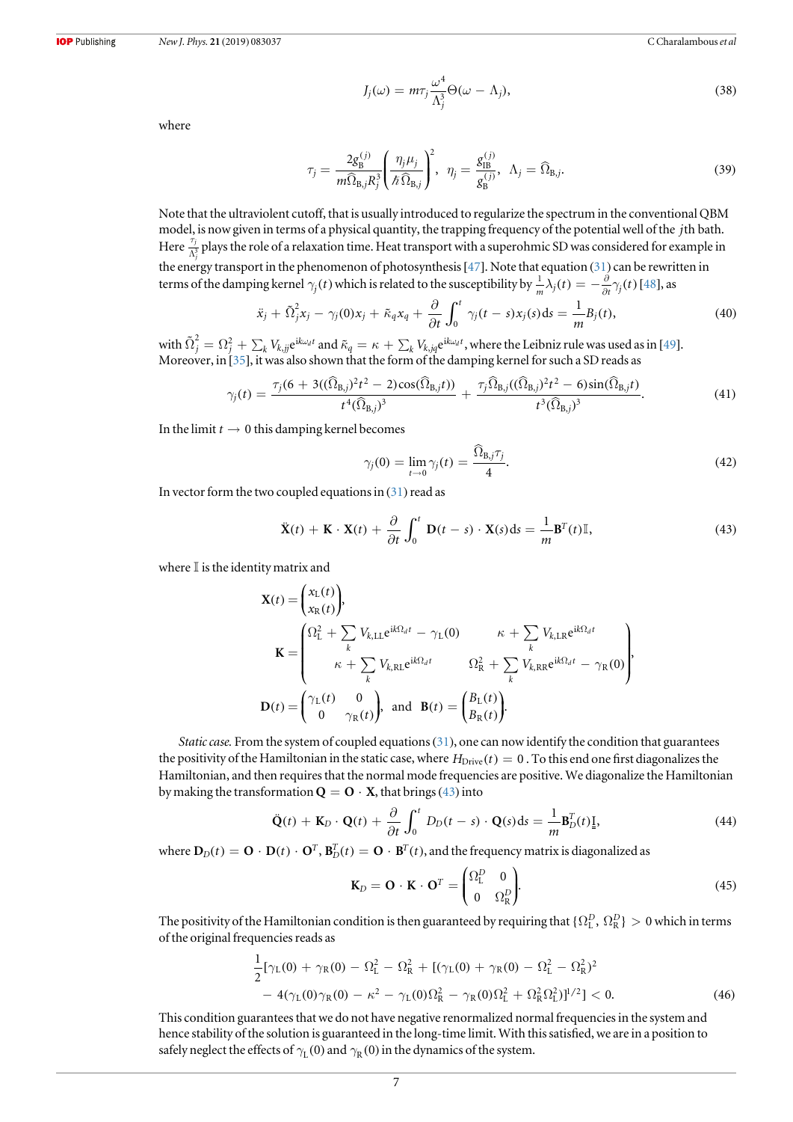$$
J_j(\omega) = m\tau_j \frac{\omega^4}{\Lambda_j^3} \Theta(\omega - \Lambda_j), \qquad (38)
$$

<span id="page-7-0"></span>where

$$
\tau_j = \frac{2g_\text{B}^{(j)}}{m\widehat{\Omega}_{\text{B},j}R_j^3} \left(\frac{\eta_j \mu_j}{\hbar \widehat{\Omega}_{\text{B},j}}\right)^2, \quad \eta_j = \frac{g_\text{IB}^{(j)}}{g_\text{B}^{(j)}}, \quad \Lambda_j = \widehat{\Omega}_{\text{B},j}.\tag{39}
$$

Note that the ultraviolent cutoff, that is usually introduced to regularize the spectrum in the conventional QBM model, is now given in terms of a physical quantity, the trapping frequency of the potential well of the *j*th bath. Here  $\frac{\tau_j}{\Lambda_j^3}$  plays the role of a relaxation time. Heat transport with a superohmic SD was considered for example in the energy transport in the phenomenon of photosynthesis [[47](#page-18-0)]. Note that equation ([31](#page-6-0)) can be rewritten in terms of the damping kernel  $\gamma_j(t)$  which is related to the susceptibility by  $\frac{1}{m}\lambda_j(t) = -\frac{\partial}{\partial t}\gamma_j(t)$  [[48](#page-18-0)], as

$$
\ddot{x}_j + \tilde{\Omega}_j^2 x_j - \gamma_j(0)x_j + \tilde{\kappa}_q x_q + \frac{\partial}{\partial t} \int_0^t \gamma_j(t-s)x_j(s)ds = \frac{1}{m}B_j(t),\tag{40}
$$

with  $\tilde{\Omega}_j^2=\Omega_j^2+\sum_k V_{k,jj} \mathrm{e}^{\mathrm{i}k\omega_d t}$  and  $\tilde{\kappa}_q=\kappa+\sum_k V_{k,jq} \mathrm{e}^{\mathrm{i}k\omega_d t},$  where the Leibniz rule was used as in [[49](#page-18-0)]. Moreover, in [[35](#page-17-0)], it was also shown that the form of the damping kernel for such a SD reads as

$$
\gamma_j(t) = \frac{\tau_j(6 + 3((\widehat{\Omega}_{B,j})^2 t^2 - 2)\cos(\widehat{\Omega}_{B,j}t))}{t^4(\widehat{\Omega}_{B,j})^3} + \frac{\tau_j \widehat{\Omega}_{B,j}((\widehat{\Omega}_{B,j})^2 t^2 - 6)\sin(\widehat{\Omega}_{B,j}t)}{t^3(\widehat{\Omega}_{B,j})^3}.
$$
(41)

In the limit  $t \to 0$  this damping kernel becomes

$$
\gamma_j(0) = \lim_{t \to 0} \gamma_j(t) = \frac{\widehat{\Omega}_{\text{B},j}\tau_j}{4}.
$$
\n(42)

In vector form the two coupled equations in  $(31)$  $(31)$  $(31)$  read as

$$
\ddot{\mathbf{X}}(t) + \mathbf{K} \cdot \mathbf{X}(t) + \frac{\partial}{\partial t} \int_0^t \mathbf{D}(t - s) \cdot \mathbf{X}(s) ds = \frac{1}{m} \mathbf{B}^T(t) \mathbb{I},
$$
\n(43)

where  $\mathbb I$  is the identity matrix and

$$
\mathbf{X}(t) = \begin{pmatrix} x_{\mathrm{L}}(t) \\ x_{\mathrm{R}}(t) \end{pmatrix},
$$
\n
$$
\mathbf{K} = \begin{pmatrix} \Omega_{\mathrm{L}}^2 + \sum_{k} V_{k,\mathrm{LL}} e^{i k \Omega_{d} t} - \gamma_{\mathrm{L}}(0) & \kappa + \sum_{k} V_{k,\mathrm{LR}} e^{i k \Omega_{d} t} \\ \kappa + \sum_{k} V_{k,\mathrm{RL}} e^{i k \Omega_{d} t} & \Omega_{\mathrm{R}}^2 + \sum_{k} V_{k,\mathrm{RR}} e^{i k \Omega_{d} t} - \gamma_{\mathrm{R}}(0) \end{pmatrix},
$$
\n
$$
\mathbf{D}(t) = \begin{pmatrix} \gamma_{\mathrm{L}}(t) & 0 \\ 0 & \gamma_{\mathrm{R}}(t) \end{pmatrix}, \text{ and } \mathbf{B}(t) = \begin{pmatrix} B_{\mathrm{L}}(t) \\ B_{\mathrm{R}}(t) \end{pmatrix}.
$$

Static case. From the system of coupled equations ([31](#page-6-0)), one can now identify the condition that guarantees the positivity of the Hamiltonian in the static case, where  $H_{\text{Drive}}(t) = 0$ . To this end one first diagonalizes the Hamiltonian, and then requires that the normal mode frequencies are positive. We diagonalize the Hamiltonian by making the transformation  $\mathbf{Q} = \mathbf{O} \cdot \mathbf{X}$ , that brings (43) into

$$
\ddot{\mathbf{Q}}(t) + \mathbf{K}_D \cdot \mathbf{Q}(t) + \frac{\partial}{\partial t} \int_0^t D_D(t - s) \cdot \mathbf{Q}(s) \, \mathrm{d}s = \frac{1}{m} \mathbf{B}_D^T(t) \mathbf{\underline{I}},\tag{44}
$$

where  $D_D(t) = \mathbf{O} \cdot \mathbf{D}(t) \cdot \mathbf{O}^T$ ,  $\mathbf{B}_D^T(t) = \mathbf{O} \cdot \mathbf{B}^T(t)$ , and the frequency matrix is diagonalized as

$$
\mathbf{K}_D = \mathbf{O} \cdot \mathbf{K} \cdot \mathbf{O}^T = \begin{pmatrix} \Omega_L^D & 0 \\ 0 & \Omega_R^D \end{pmatrix} . \tag{45}
$$

The positivity of the Hamiltonian condition is then guaranteed by requiring that  $\{\Omega^D_L,\,\Omega^D_R\}>0$  which in terms of the original frequencies reads as

$$
\frac{1}{2}[\gamma_L(0) + \gamma_R(0) - \Omega_L^2 - \Omega_R^2 + [(\gamma_L(0) + \gamma_R(0) - \Omega_L^2 - \Omega_R^2)^2 - 4(\gamma_L(0)\gamma_R(0) - \kappa^2 - \gamma_L(0)\Omega_R^2 - \gamma_R(0)\Omega_L^2 + \Omega_R^2\Omega_L^2)]^{1/2}] < 0.
$$
\n(46)

This condition guarantees that we do not have negative renormalized normal frequencies in the system and hence stability of the solution is guaranteed in the long-time limit. With this satisfied, we are in a position to safely neglect the effects of  $\gamma_L(0)$  and  $\gamma_R(0)$  in the dynamics of the system.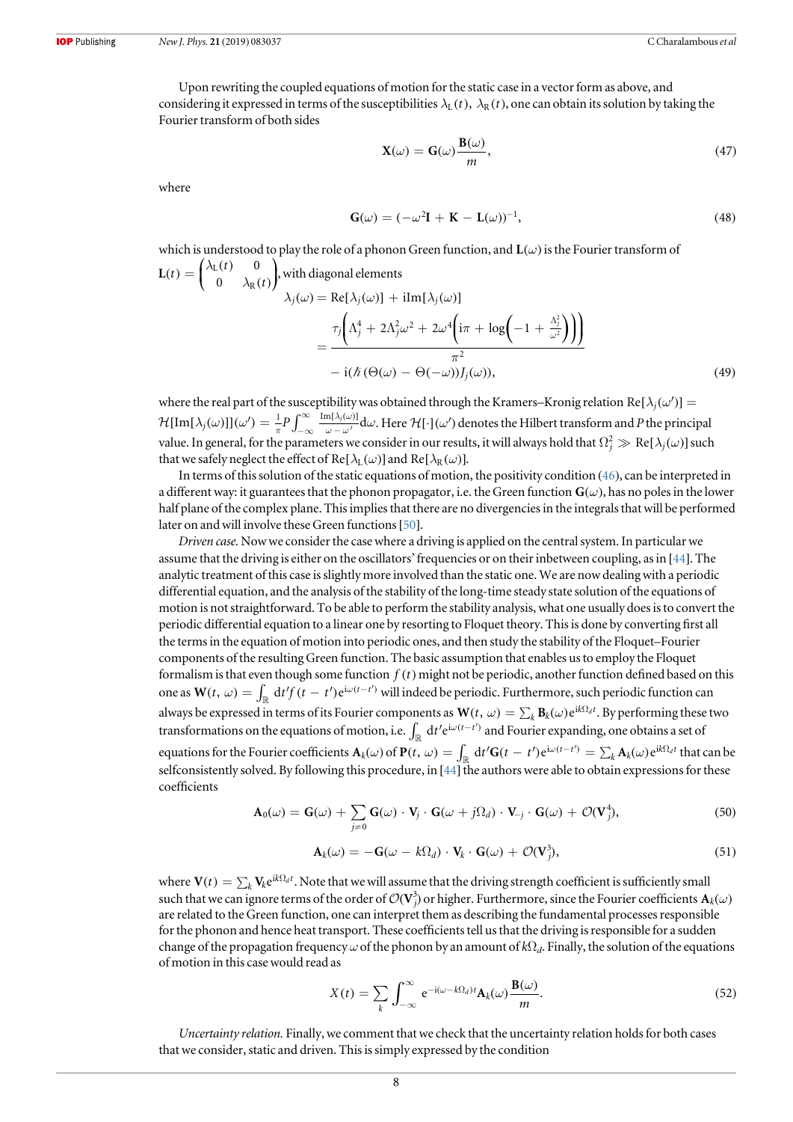Upon rewriting the coupled equations of motion for the static case in a vector form as above, and considering it expressed in terms of the susceptibilities  $\lambda_L(t)$ ,  $\lambda_R(t)$ , one can obtain its solution by taking the Fourier transform of both sides

$$
\mathbf{X}(\omega) = \mathbf{G}(\omega)\frac{\mathbf{B}(\omega)}{m},\tag{47}
$$

where

$$
\mathbf{G}(\omega) = (-\omega^2 \mathbf{I} + \mathbf{K} - \mathbf{L}(\omega))^{-1},\tag{48}
$$

which is understood to play the role of a phonon Green function, and 
$$
\mathbf{L}(\omega)
$$
 is the Fourier transform of  
\n
$$
\mathbf{L}(t) = \begin{pmatrix} \lambda_{\mathbf{L}}(t) & 0 \\ 0 & \lambda_{\mathbf{R}}(t) \end{pmatrix}, \text{ with diagonal elements} \\ \lambda_j(\omega) = \text{Re}[\lambda_j(\omega)] + \text{iIm}[\lambda_j(\omega)] \\ = \frac{\tau_j \left( \Lambda_j^4 + 2\Lambda_j^2 \omega^2 + 2\omega^4 \left( i\pi + \log \left( -1 + \frac{\Lambda_j^2}{\omega^2} \right) \right) \right)}{\pi^2} \\ = \frac{\tau_j \left( \Lambda_j^4 + 2\Lambda_j^2 \omega^2 + 2\omega^4 \left( i\pi + \log \left( -1 + \frac{\Lambda_j^2}{\omega^2} \right) \right) \right)}{\pi^2} \tag{49}
$$

where the real part of the susceptibility was obtained through the Kramers–Kronig relation Re[ $\lambda_i(\omega')$ ] =  ${\cal H}[\text{Im}[\lambda_j(\omega)]](\omega')=\frac{1}{\pi}P\int_{-\infty}^{\infty}\frac{\text{Im}[\lambda_j(\omega)]}{\omega-\omega'}\text{d}\omega$  $-\infty$   $\omega - \omega$  $[\text{Im}[\lambda_j(\omega)]](\omega') = \frac{1}{\pi}P\int_{-\infty}^{\infty}\frac{\text{Im}[\lambda_j(\omega)]}{\omega - \omega'}\text{d}\omega.$  Here  $\mathcal{H}[\cdot](\omega')$  denotes the Hilbert transform and P the principal value. In general, for the parameters we consider in our results, it will always hold that  $\Omega_j^2\gg\text{Re}[\lambda_j(\omega)]$  such that we safely neglect the effect of Re[ $\lambda_L(\omega)$ ] and Re[ $\lambda_R(\omega)$ ].

In terms of this solution of the static equations of motion, the positivity condition ([46](#page-7-0)), can be interpreted in a different way: it guarantees that the phonon propagator, i.e. the Green function  $G(\omega)$ , has no poles in the lower half plane of the complex plane. This implies that there are no divergencies in the integrals that will be performed later on and will involve these Green functions[[50](#page-18-0)].

Driven case. Now we consider the case where a driving is applied on the central system. In particular we assume that the driving is either on the oscillators' frequencies or on their inbetween coupling, as in [[44](#page-17-0)]. The analytic treatment of this case is slightly more involved than the static one. We are now dealing with a periodic differential equation, and the analysis of the stability of the long-time steady state solution of the equations of motion is not straightforward. To be able to perform the stability analysis, what one usually does is to convert the periodic differential equation to a linear one by resorting to Floquet theory. This is done by converting first all the terms in the equation of motion into periodic ones, and then study the stability of the Floquet–Fourier components of the resulting Green function. The basic assumption that enables us to employ the Floquet formalism is that even though some function  $f(t)$  might not be periodic, another function defined based on this one as  $W(t, \omega) = \int_{\mathbb{R}} df'(t-t') e^{i\omega(t-t')}$  will indeed be periodic. Furthermore, such periodic function can always be expressed in terms of its Fourier components as  $W(t, \omega) = \sum_k \mathbf{B}_k(\omega) e^{i k \Omega_d t}$ . By performing these two transformations on the equations of motion, i.e.  $\int_{\mathbb{R}} dt' e^{i\omega(t-t')}$  and Fourier expanding, one obtains a set of equations for the Fourier coefficients  $\mathbf{A}_k(\omega)$  of  $\mathbf{P}(t, \omega) = \int_{\mathbb{R}} dt' \mathbf{G}(t-t') e^{i\omega(t-t')} = \sum_k \mathbf{A}_k(\omega) e^{i k \Omega_d t}$  that can be selfconsistently solved. By following this procedure, in  $[44]$  $[44]$  $[44]$  the authors were able to obtain expressions for these coefficients

$$
\mathbf{A}_{0}(\omega) = \mathbf{G}(\omega) + \sum_{j \neq 0} \mathbf{G}(\omega) \cdot \mathbf{V}_{j} \cdot \mathbf{G}(\omega + j\Omega_{d}) \cdot \mathbf{V}_{-j} \cdot \mathbf{G}(\omega) + \mathcal{O}(\mathbf{V}_{j}^{4}),
$$
\n(50)

$$
\mathbf{A}_{k}(\omega) = -\mathbf{G}(\omega - k\Omega_{d}) \cdot \mathbf{V}_{k} \cdot \mathbf{G}(\omega) + \mathcal{O}(\mathbf{V}_{j}^{3}), \qquad (51)
$$

where  $V(t) = \sum_k V_k e^{ik\Omega_d t}$ . Note that we will assume that the driving strength coefficient is sufficiently small such that we can ignore terms of the order of  $\mathcal{O}(\mathbf V_j^3)$  or higher. Furthermore, since the Fourier coefficients  $\mathbf A_k(\omega)$ are related to the Green function, one can interpret them as describing the fundamental processes responsible for the phonon and hence heat transport. These coefficients tell us that the driving is responsible for a sudden change of the propagation frequency  $\omega$  of the phonon by an amount of  $k\Omega_d$ . Finally, the solution of the equations of motion in this case would read as

$$
X(t) = \sum_{k} \int_{-\infty}^{\infty} e^{-i(\omega - k\Omega_d)t} \mathbf{A}_k(\omega) \frac{\mathbf{B}(\omega)}{m}.
$$
 (52)

Uncertainty relation. Finally, we comment that we check that the uncertainty relation holds for both cases that we consider, static and driven. This is simply expressed by the condition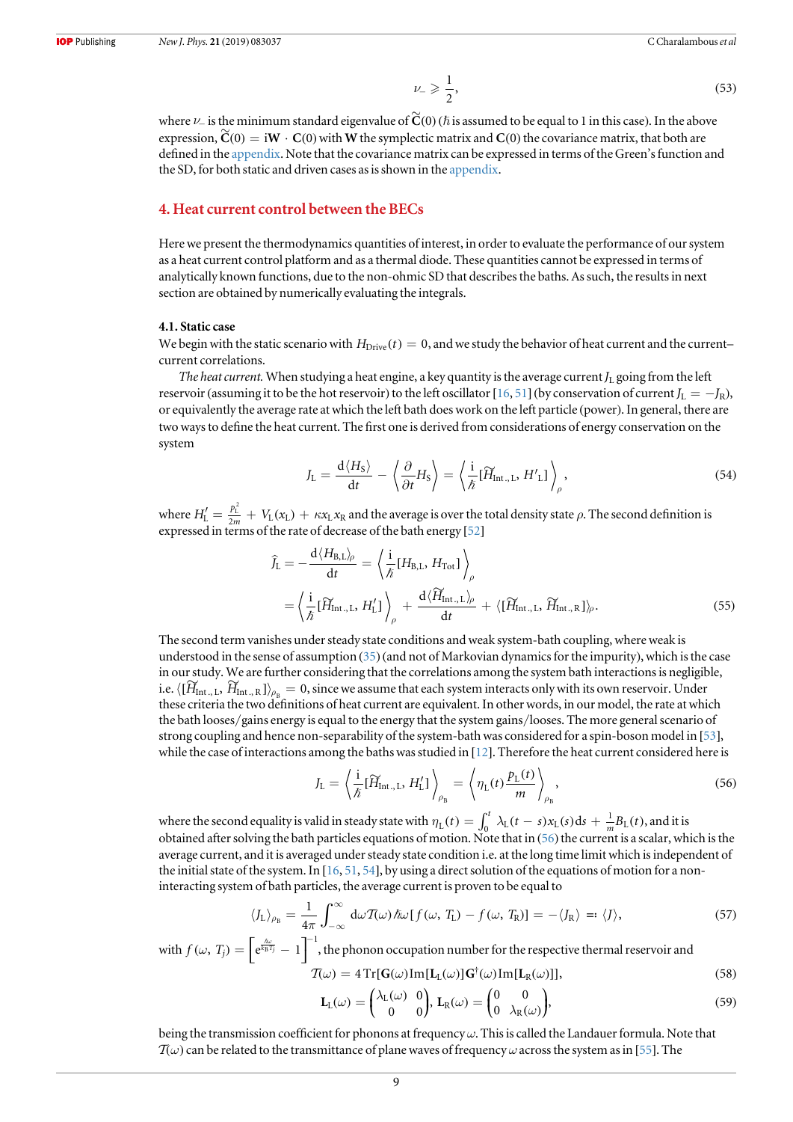$$
\nu_{-} \geqslant \frac{1}{2},\tag{53}
$$

<span id="page-9-0"></span>where  $\nu_-$  is the minimum standard eigenvalue of  $\widetilde{\mathbf{C}}(0)$  ( $\hbar$  is assumed to be equal to 1 in this case). In the above expression,  $\widetilde{C}(0) = iW \cdot C(0)$  with W the symplectic matrix and  $C(0)$  the covariance matrix, that both are defined in the [appendix.](#page-16-0) Note that the covariance matrix can be expressed in terms of the Green's function and the SD, for both static and driven cases as is shown in the [appendix](#page-16-0).

## 4. Heat current control between the BECs

Here we present the thermodynamics quantities of interest, in order to evaluate the performance of our system as a heat current control platform and as a thermal diode. These quantities cannot be expressed in terms of analytically known functions, due to the non-ohmic SD that describes the baths. As such, the results in next section are obtained by numerically evaluating the integrals.

#### 4.1. Static case

We begin with the static scenario with  $H_{\text{Diriv}}(t) = 0$ , and we study the behavior of heat current and the current– current correlations.

The heat current. When studying a heat engine, a key quantity is the average current  $J_L$  going from the left reservoir (assuming it to be the hot reservoir) to the left oscillator [[16,](#page-17-0) [51](#page-18-0)] (by conservation of current  $J_L = -J_R$ ), or equivalently the average rate at which the left bath does work on the left particle (power). In general, there are two ways to define the heat current. The first one is derived from considerations of energy conservation on the system

$$
J_{\rm L} = \frac{d \langle H_{\rm S} \rangle}{dt} - \left\langle \frac{\partial}{\partial t} H_{\rm S} \right\rangle = \left\langle \frac{i}{\hbar} [\widetilde{H}_{\rm Int, L}, H'_{\rm L}] \right\rangle_{\rho},\tag{54}
$$

where  $H'_{\rm L} = \frac{p_{\rm L}^2}{2m} + V_{\rm L}(x_{\rm L}) + \kappa x_{\rm L} x_{\rm R}$  and the average is over the total density state  $\rho$ . The second definition is expressed in terms of the rate of decrease of the bath energy [[52](#page-18-0)]

$$
\widehat{J}_{\rm L} = -\frac{d \langle H_{\rm B,L} \rangle_{\rho}}{dt} = \left\langle \frac{i}{\hbar} [H_{\rm B,L}, H_{\rm Tot}] \right\rangle_{\rho}
$$
\n
$$
= \left\langle \frac{i}{\hbar} [\widetilde{H}_{\rm Int,L}, H_{\rm L}'] \right\rangle_{\rho} + \frac{d \langle \widetilde{H}_{\rm Int,L} \rangle_{\rho}}{dt} + \langle [\widetilde{H}_{\rm Int,L}, \widetilde{H}_{\rm Int,R}] \rangle_{\rho}.
$$
\n(55)

The second term vanishes under steady state conditions and weak system-bath coupling, where weak is understood in the sense of assumption ([35](#page-6-0)) (and not of Markovian dynamics for the impurity), which is the case in our study. We are further considering that the correlations among the system bath interactions is negligible, i.e.  $\langle [H_{\text{Int., L}}, H_{\text{Int., R}}] \rangle_{\rho_{\rm R}} = 0$ , since we assume that each system interacts only with its own reservoir. Under these criteria the two definitions of heat current are equivalent. In other words, in our model, the rate at which the bath looses/gains energy is equal to the energy that the system gains/looses. The more general scenario of strong coupling and hence non-separability of the system-bath was considered for a spin-boson model in [[53](#page-18-0)], while the case of interactions among the baths was studied in [[12](#page-17-0)]. Therefore the heat current considered here is

$$
J_{\rm L} = \left\langle \frac{\mathrm{i}}{\hbar} [\widetilde{H}_{\rm Int, L}, H_{\rm L}'] \right\rangle_{\rho_{\rm B}} = \left\langle \eta_{\rm L}(t) \frac{p_{\rm L}(t)}{m} \right\rangle_{\rho_{\rm B}}, \tag{56}
$$

where the second equality is valid in steady state with  $\eta_L(t) = \int_0^t \lambda_L(t-s)x_L(s)ds + \frac{1}{m}B_L(t)$ , and it is obtained after solving the bath particles equations of motion. Note that in (56) the current is a scalar, which is the average current, and it is averaged under steady state condition i.e. at the long time limit which is independent of the initial state of the system. In [[16,](#page-17-0) [51](#page-18-0), [54](#page-18-0)], by using a direct solution of the equations of motion for a noninteracting system of bath particles, the average current is proven to be equal to

$$
\langle J_{\mathcal{L}} \rangle_{\rho_{\mathcal{B}}} = \frac{1}{4\pi} \int_{-\infty}^{\infty} d\omega \mathcal{T}(\omega) \hbar \omega [f(\omega, T_{\mathcal{L}}) - f(\omega, T_{\mathcal{R}})] = -\langle J_{\mathcal{R}} \rangle =: \langle J \rangle, \tag{57}
$$

with 
$$
f(\omega, T_j) = \left[e^{\frac{\hbar \omega}{k_B T_j}} - 1\right]^{-1}
$$
, the phonon occupation number for the respective thermal reservoir and  
\n
$$
\mathcal{T}(\omega) = 4 \operatorname{Tr}[\mathbf{G}(\omega) \operatorname{Im}[\mathbf{L}_{\mathrm{L}}(\omega)] \mathbf{G}^{\dagger}(\omega) \operatorname{Im}[\mathbf{L}_{\mathrm{R}}(\omega)]],
$$
\n(58)

$$
\mathbf{L}_{\mathcal{L}}(\omega) = \begin{pmatrix} \lambda_{\mathcal{L}}(\omega) & 0 \\ 0 & 0 \end{pmatrix}, \mathbf{L}_{\mathcal{R}}(\omega) = \begin{pmatrix} 0 & 0 \\ 0 & \lambda_{\mathcal{R}}(\omega) \end{pmatrix},\tag{59}
$$

being the transmission coefficient for phonons at frequency  $\omega$ . This is called the Landauer formula. Note that  $T(\omega)$  can be related to the transmittance of plane waves of frequency  $\omega$  across the system as in [[55](#page-18-0)]. The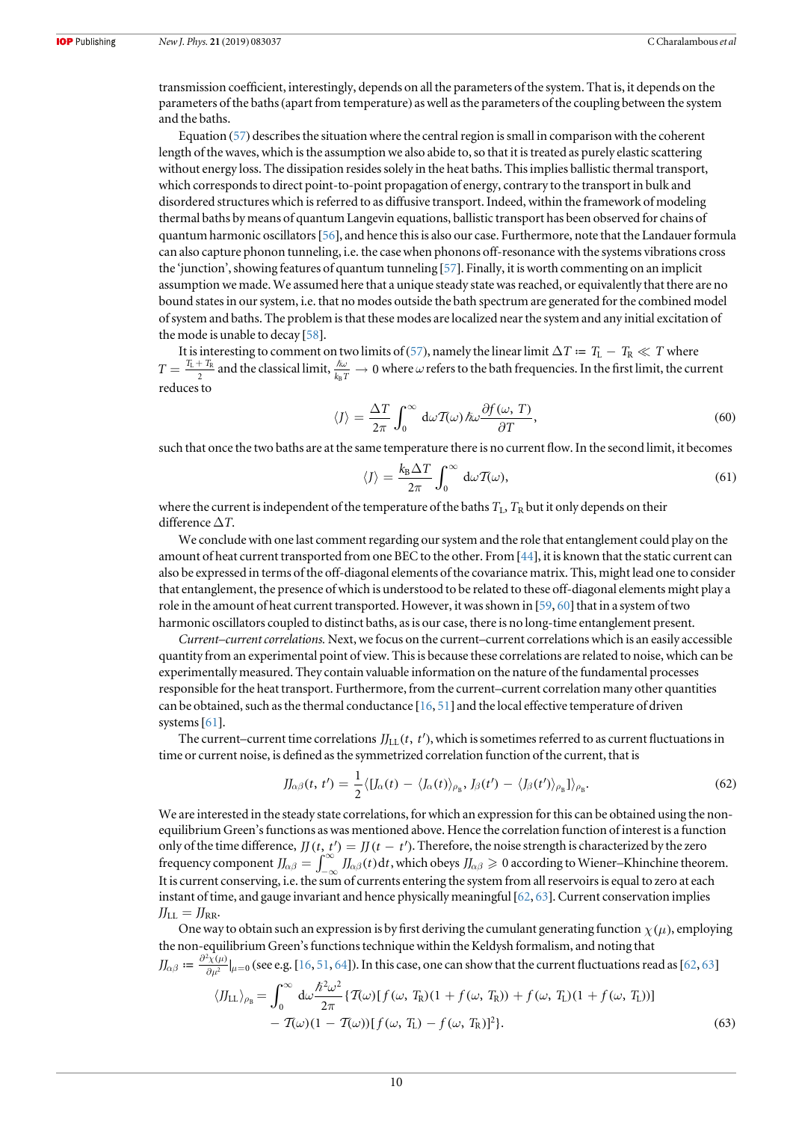<span id="page-10-0"></span>transmission coefficient, interestingly, depends on all the parameters of the system. That is, it depends on the parameters of the baths(apart from temperature) as well as the parameters of the coupling between the system and the baths.

Equation ([57](#page-9-0)) describes the situation where the central region is small in comparison with the coherent length of the waves, which is the assumption we also abide to, so that it is treated as purely elastic scattering without energy loss. The dissipation resides solely in the heat baths. This implies ballistic thermal transport, which corresponds to direct point-to-point propagation of energy, contrary to the transport in bulk and disordered structures which is referred to as diffusive transport. Indeed, within the framework of modeling thermal baths by means of quantum Langevin equations, ballistic transport has been observed for chains of quantum harmonic oscillators[[56](#page-18-0)], and hence this is also our case. Furthermore, note that the Landauer formula can also capture phonon tunneling, i.e. the case when phonons off-resonance with the systems vibrations cross the 'junction', showing features of quantum tunneling [[57](#page-18-0)]. Finally, it is worth commenting on an implicit assumption we made. We assumed here that a unique steady state was reached, or equivalently that there are no bound states in our system, i.e. that no modes outside the bath spectrum are generated for the combined model of system and baths. The problem is that these modes are localized near the system and any initial excitation of the mode is unable to decay [[58](#page-18-0)].

It is interesting to comment on two limits of ([57](#page-9-0)), namely the linear limit  $\Delta T = T_{\rm L} - T_{\rm R} \ll T$  where  $T = \frac{T_L + T_R}{2}$  and the classical limit,  $\frac{\hbar \omega}{k_B T} \to 0$  where  $\omega$  refers to the bath frequencies. In the first limit, the current reduces to

$$
\langle J \rangle = \frac{\Delta T}{2\pi} \int_0^\infty d\omega \mathcal{T}(\omega) \hbar \omega \frac{\partial f(\omega, T)}{\partial T}, \tag{60}
$$

such that once the two baths are at the same temperature there is no current flow. In the second limit, it becomes

$$
\langle J \rangle = \frac{k_{\rm B} \Delta T}{2\pi} \int_0^\infty d\omega \mathcal{T}(\omega),\tag{61}
$$

where the current is independent of the temperature of the baths  $T_L$ ,  $T_R$  but it only depends on their difference  $\Delta T$ .

We conclude with one last comment regarding our system and the role that entanglement could play on the amount of heat current transported from one BEC to the other. From [[44](#page-17-0)], it is known that the static current can also be expressed in terms of the off-diagonal elements of the covariance matrix. This, might lead one to consider that entanglement, the presence of which is understood to be related to these off-diagonal elements might play a role in the amount of heat current transported. However, it was shown in [[59](#page-18-0), [60](#page-18-0)] that in a system of two harmonic oscillators coupled to distinct baths, as is our case, there is no long-time entanglement present.

Current–current correlations. Next, we focus on the current–current correlations which is an easily accessible quantity from an experimental point of view. This is because these correlations are related to noise, which can be experimentally measured. They contain valuable information on the nature of the fundamental processes responsible for the heat transport. Furthermore, from the current–current correlation many other quantities can be obtained, such as the thermal conductance [[16,](#page-17-0) [51](#page-18-0)] and the local effective temperature of driven systems [[61](#page-18-0)].

The current–current time correlations  $J_{LL}(t, t')$ , which is sometimes referred to as current fluctuations in time or current noise, is defined as the symmetrized correlation function of the current, that is

$$
JJ_{\alpha\beta}(t, t') = \frac{1}{2} \langle [J_{\alpha}(t) - \langle J_{\alpha}(t) \rangle_{\rho_{\rm B}}, J_{\beta}(t') - \langle J_{\beta}(t') \rangle_{\rho_{\rm B}}] \rangle_{\rho_{\rm B}}.
$$
 (62)

We are interested in the steady state correlations, for which an expression for this can be obtained using the nonequilibrium Green's functions as was mentioned above. Hence the correlation function of interest is a function only of the time difference,  $JJ(t, t') = J(t - t')$ . Therefore, the noise strength is characterized by the zero frequency component  $J\!\!\!\int_{\alpha\beta}^{\infty} \int_{-\infty}^{\infty} J\!\!\!\int_{\alpha\beta}(t) dt$ , which obeys  $J\!\!\!\int_{\alpha\beta} \geq 0$  according to Wiener–Khinchine theorem. It is current conserving, i.e. the sum of currents entering the system from all reservoirs is equal to zero at each instant of time, and gauge invariant and hence physically meaningful [[62](#page-18-0), [63](#page-18-0)]. Current conservation implies  $J_{\text{LL}} = J_{\text{RR}}.$ 

One way to obtain such an expression is by first deriving the cumulant generating function  $\chi(\mu)$ , employing the non-equilibrium Green's functions technique within the Keldysh formalism, and noting that  $J_{\alpha\beta}\coloneqq\frac{\partial^2\chi(\mu)}{\partial\mu^2}\vert_{\mu=0}$  (see e.g. [[16,](#page-17-0) [51](#page-18-0), [64](#page-18-0)]). In this case, one can show that the current fluctuations read as [[62](#page-18-0), [63](#page-18-0)]

$$
\langle JJ_{\text{LL}}\rangle_{\rho_{\text{B}}} = \int_0^\infty d\omega \frac{\hbar^2 \omega^2}{2\pi} \{T(\omega)[f(\omega, T_{\text{R}})(1 + f(\omega, T_{\text{R}})) + f(\omega, T_{\text{L}})(1 + f(\omega, T_{\text{L}}))] - T(\omega)(1 - T(\omega))[f(\omega, T_{\text{L}}) - f(\omega, T_{\text{R}})]^2\}.
$$
\n(63)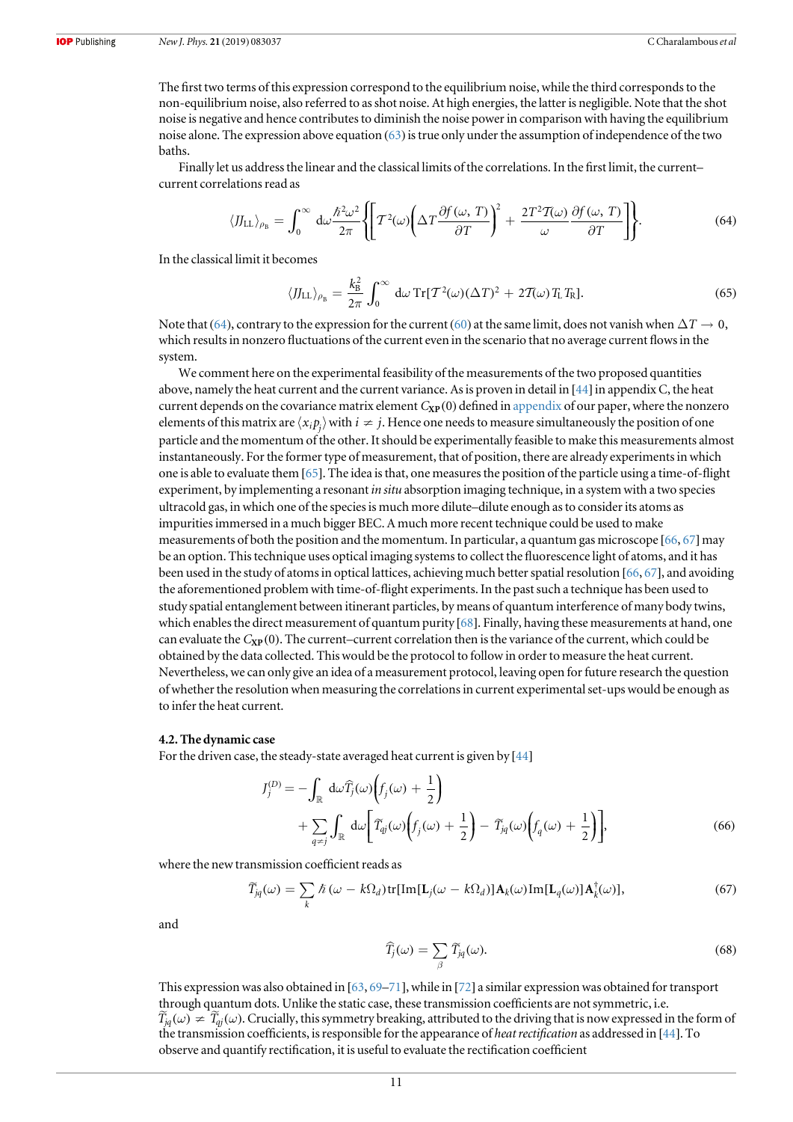<span id="page-11-0"></span>The first two terms of this expression correspond to the equilibrium noise, while the third corresponds to the non-equilibrium noise, also referred to as shot noise. At high energies, the latter is negligible. Note that the shot noise is negative and hence contributes to diminish the noise power in comparison with having the equilibrium noise alone. The expression above equation ([63](#page-10-0))is true only under the assumption of independence of the two baths.

Finally let us address the linear and the classical limits of the correlations. In the first limit, the current– current correlations read as

$$
\langle J_{\text{LL}} \rangle_{\rho_{\text{B}}} = \int_0^\infty d\omega \frac{\hbar^2 \omega^2}{2\pi} \left\{ \left[ T^2(\omega) \left( \Delta T \frac{\partial f(\omega, T)}{\partial T} \right)^2 + \frac{2T^2 T(\omega)}{\omega} \frac{\partial f(\omega, T)}{\partial T} \right] \right\}.
$$
 (64)

In the classical limit it becomes

$$
\langle J J_{\text{LL}} \rangle_{\rho_{\text{B}}} = \frac{k_{\text{B}}^2}{2\pi} \int_0^\infty d\omega \operatorname{Tr}[T^2(\omega)(\Delta T)^2 + 2T(\omega)T_{\text{L}}T_{\text{R}}]. \tag{65}
$$

Note that (64), contrary to the expression for the current ([60](#page-10-0)) at the same limit, does not vanish when  $\Delta T \to 0$ , which results in nonzero fluctuations of the current even in the scenario that no average current flows in the system.

We comment here on the experimental feasibility of the measurements of the two proposed quantities above, namely the heat current and the current variance. As is proven in detail in [[44](#page-17-0)] in appendix C, the heat current depends on the covariance matrix element  $C_{\text{XP}}(0)$  defined in [appendix](#page-16-0) of our paper, where the nonzero elements of this matrix are  $\langle x_i p_j\rangle$  with  $i\neq j$ . Hence one needs to measure simultaneously the position of one particle and the momentum of the other. It should be experimentally feasible to make this measurements almost instantaneously. For the former type of measurement, that of position, there are already experiments in which one is able to evaluate them [[65](#page-18-0)]. The idea is that, one measures the position of the particle using a time-of-flight experiment, by implementing a resonant *in situ* absorption imaging technique, in a system with a two species ultracold gas, in which one of the species is much more dilute–dilute enough as to consider its atoms as impurities immersed in a much bigger BEC. A much more recent technique could be used to make measurements of both the position and the momentum. In particular, a quantum gas microscope [[66,](#page-18-0) [67](#page-18-0)] may be an option. This technique uses optical imaging systems to collect the fluorescence light of atoms, and it has been used in the study of atoms in optical lattices, achieving much better spatial resolution [[66,](#page-18-0) [67](#page-18-0)], and avoiding the aforementioned problem with time-of-flight experiments. In the past such a technique has been used to study spatial entanglement between itinerant particles, by means of quantum interference of many body twins, which enables the direct measurement of quantum purity [[68](#page-18-0)]. Finally, having these measurements at hand, one can evaluate the  $C_{\text{XP}}(0)$ . The current–current correlation then is the variance of the current, which could be obtained by the data collected. This would be the protocol to follow in order to measure the heat current. Nevertheless, we can only give an idea of a measurement protocol, leaving open for future research the question of whether the resolution when measuring the correlations in current experimental set-ups would be enough as to infer the heat current.

#### 4.2. The dynamic case

For the driven case, the steady-state averaged heat current is given by [[44](#page-17-0)]

$$
J_j^{(D)} = -\int_{\mathbb{R}} d\omega \widehat{T}_j(\omega) \left( f_j(\omega) + \frac{1}{2} \right)
$$
  
+ 
$$
\sum_{q \neq j} \int_{\mathbb{R}} d\omega \left[ \widetilde{T}_{qj}(\omega) \left( f_j(\omega) + \frac{1}{2} \right) - \widetilde{T}_{jq}(\omega) \left( f_q(\omega) + \frac{1}{2} \right) \right],
$$
 (66)

where the new transmission coefficient reads as

$$
\widetilde{T}_{jq}(\omega) = \sum_{k} \hbar (\omega - k\Omega_d) \text{tr}[\text{Im}[\mathbf{L}_j(\omega - k\Omega_d)] \mathbf{A}_k(\omega) \text{Im}[\mathbf{L}_q(\omega)] \mathbf{A}_k^{\dagger}(\omega)], \tag{67}
$$

and

$$
\widehat{T}_j(\omega) = \sum_{\beta} \widetilde{T}_{jq}(\omega). \tag{68}
$$

This expression was also obtained in [[63](#page-18-0), [69](#page-18-0)–[71](#page-18-0)], while in [[72](#page-18-0)] a similar expression was obtained for transport through quantum dots. Unlike the static case, these transmission coefficients are not symmetric, i.e.  $\widetilde{T}_{jq}(\omega) \neq \widetilde{T}_{qi}(\omega)$ . Crucially, this symmetry breaking, attributed to the driving that is now expressed in the form of the transmission coefficients, is responsible for the appearance of heat rectification as addressed in [[44](#page-17-0)]. To observe and quantify rectification, it is useful to evaluate the rectification coefficient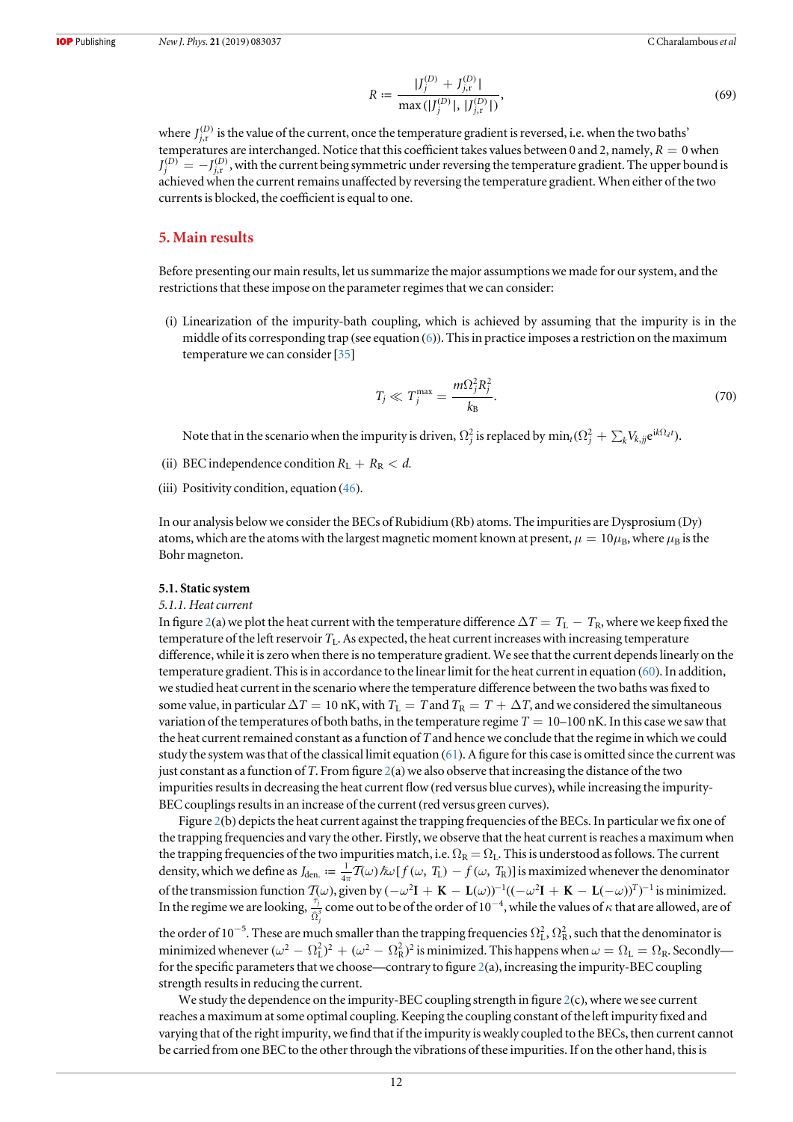$$
R := \frac{|J_j^{(D)} + J_{j,r}^{(D)}|}{\max(|J_j^{(D)}|, |J_{j,r}^{(D)}|)},
$$
\n(69)

<span id="page-12-0"></span>where  $J_{j,r}^{(D)}$  is the value of the current, once the temperature gradient is reversed, i.e. when the two baths' temperatures are interchanged. Notice that this coefficient takes values between 0 and 2, namely,  $R = 0$  when  $J_j^{(D)}=-J_{j,r}^{(D)}$  , with the current being symmetric under reversing the temperature gradient. The upper bound is achieved when the current remains unaffected by reversing the temperature gradient. When either of the two currents is blocked, the coefficient is equal to one.

#### 5. Main results

Before presenting our main results, let us summarize the major assumptions we made for our system, and the restrictions that these impose on the parameter regimes that we can consider:

(i) Linearization of the impurity-bath coupling, which is achieved by assuming that the impurity is in the middle of its corresponding trap (see equation ([6](#page-3-0))). This in practice imposes a restriction on the maximum temperature we can consider[[35](#page-17-0)]

$$
T_j \ll T_j^{\max} = \frac{m\Omega_j^2 R_j^2}{k_B}.
$$
\n(70)

Note that in the scenario when the impurity is driven,  $\Omega_j^2$  is replaced by  $\min_t(\Omega_j^2+\sum_k V_{k,jj} {\rm e}^{{\rm i} k \Omega_d t}).$ 

- (ii) BEC independence condition  $R_L + R_R < d$ .
- (iii) Positivity condition, equation  $(46)$  $(46)$  $(46)$ .

In our analysis below we consider the BECs of Rubidium (Rb) atoms. The impurities are Dysprosium (Dy) atoms, which are the atoms with the largest magnetic moment known at present,  $\mu = 10\mu_B$ , where  $\mu_B$  is the Bohr magneton.

#### 5.1. Static system

#### 5.1.1. Heat current

In figure [2](#page-13-0)(a) we plot the heat current with the temperature difference  $\Delta T = T_L - T_R$ , where we keep fixed the temperature of the left reservoir  $T_L$ . As expected, the heat current increases with increasing temperature difference, while it is zero when there is no temperature gradient. We see that the current depends linearly on the temperature gradient. This is in accordance to the linear limit for the heat current in equation ([60](#page-10-0)). In addition, we studied heat current in the scenario where the temperature difference between the two baths was fixed to some value, in particular  $\Delta T = 10$  nK, with  $T_L = T$  and  $T_R = T + \Delta T$ , and we considered the simultaneous variation of the temperatures of both baths, in the temperature regime  $T = 10$ –100 nK. In this case we saw that the heat current remained constant as a function of  $T$  and hence we conclude that the regime in which we could study the system was that of the classical limit equation ([61](#page-10-0)). A figure for this case is omitted since the current was just constant as a function of T. From figure  $2(a)$  $2(a)$  we also observe that increasing the distance of the two impurities results in decreasing the heat current flow(red versus blue curves), while increasing the impurity-BEC couplings results in an increase of the current (red versus green curves).

Figure [2](#page-13-0)(b) depicts the heat current against the trapping frequencies of the BECs. In particular we fix one of the trapping frequencies and vary the other. Firstly, we observe that the heat current is reaches a maximum when the trapping frequencies of the two impurities match, i.e.  $\Omega_R = \Omega_L$ . This is understood as follows. The current density, which we define as  $J_{den.} := \frac{1}{4\pi} \overline{T}(\omega) \hbar \omega [f(\omega, T_{L}) - f(\omega, T_{R})]$  is maximized whenever the denominator of the transmission function  $T(\omega)$ , given by  $(-\omega^2 I + K - L(\omega))^{-1} ((-\omega^2 I + K - L(-\omega))^{T})^{-1}$  is minimized. In the regime we are looking,  $\frac{\tau_j}{\hat{\Omega}}$  $\frac{j}{3}$  come out to be of the order of 10<sup>−4</sup>, while the values of  $\kappa$  that are allowed, are of the order of 10<sup>-5</sup>. These are much smaller than the trapping frequencies  $\Omega_L^2$ ,  $\Omega_R^2$ , such that the denominator is

minimized whenever  $(\omega^2 - \Omega_L^2)^2 + (\omega^2 - \Omega_R^2)^2$  is minimized. This happens when  $\omega = \Omega_L = \Omega_R$ . Secondly for the specific parameters that we choose—contrary to figure [2](#page-13-0)(a), increasing the impurity-BEC coupling strength results in reducing the current.

We study the dependence on the impurity-BEC coupling strength in figure  $2(c)$  $2(c)$ , where we see current reaches a maximum at some optimal coupling. Keeping the coupling constant of the left impurity fixed and varying that of the right impurity, we find that if the impurity is weakly coupled to the BECs, then current cannot be carried from one BEC to the other through the vibrations of these impurities. If on the other hand, this is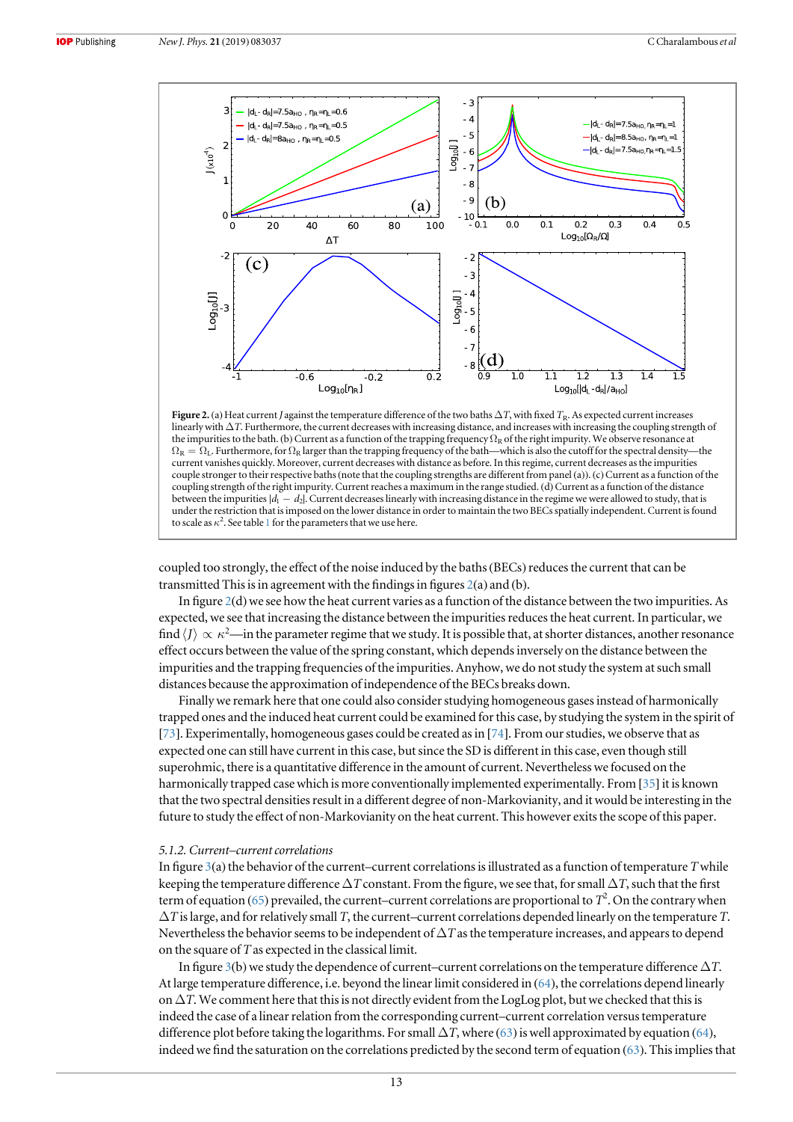<span id="page-13-0"></span>

Figure 2. (a) Heat current J against the temperature difference of the two baths  $\Delta T$ , with fixed  $T_R$ . As expected current increases linearly with ΔT. Furthermore, the current decreases with increasing distance, and increases with increasing the coupling strength of the impurities to the bath. (b) Current as a function of the trapping frequency  $\Omega_R$  of the right impurity. We observe resonance at  $\Omega_R = \Omega_L$ . Furthermore, for  $\Omega_R$  larger than the trapping frequency of the bath—which is also the cutoff for the spectral density—the current vanishes quickly. Moreover, current decreases with distance as before. In this regime, current decreases as the impurities couple stronger to their respective baths(note that the coupling strengths are different from panel (a)).(c)Current as a function of the coupling strength of the right impurity. Current reaches a maximum in the range studied. (d)Current as a function of the distance between the impurities |*d*<sub>1</sub> − *d*<sub>2</sub>|. Current decreases linearly with increasing distance in the regime we were allowed to study, that is under the restriction that is imposed on the lower distance in order to maintain the two BECs spatially independent. Current is found to scale as  $\kappa^2$ . See table [1](#page-14-0) for the parameters that we use here.

coupled too strongly, the effect of the noise induced by the baths (BECs) reduces the current that can be transmitted This is in agreement with the findings in figures 2(a) and (b).

In figure 2(d) we see how the heat current varies as a function of the distance between the two impurities. As expected, we see that increasing the distance between the impurities reduces the heat current. In particular, we find  $\langle J \rangle \propto \kappa^2$ —in the parameter regime that we study. It is possible that, at shorter distances, another resonance effect occurs between the value of the spring constant, which depends inversely on the distance between the impurities and the trapping frequencies of the impurities. Anyhow, we do not study the system at such small distances because the approximation of independence of the BECs breaks down.

Finally we remark here that one could also consider studying homogeneous gases instead of harmonically trapped ones and the induced heat current could be examined for this case, by studying the system in the spirit of [[73](#page-18-0)]. Experimentally, homogeneous gases could be created as in [[74](#page-18-0)]. From our studies, we observe that as expected one can still have current in this case, but since the SD is different in this case, even though still superohmic, there is a quantitative difference in the amount of current. Nevertheless we focused on the harmonically trapped case which is more conventionally implemented experimentally. From [[35](#page-17-0)] it is known that the two spectral densities result in a different degree of non-Markovianity, and it would be interesting in the future to study the effect of non-Markovianity on the heat current. This however exits the scope of this paper.

### 5.1.2. Current–current correlations

In figure  $3(a)$  $3(a)$  the behavior of the current–current correlations is illustrated as a function of temperature Twhile keeping the temperature difference  $\Delta T$  constant. From the figure, we see that, for small  $\Delta T$ , such that the first term of equation ([65](#page-11-0)) prevailed, the current–current correlations are proportional to  $T^2$ . On the contrary when  $\Delta T$  is large, and for relatively small T, the current–current correlations depended linearly on the temperature T. Nevertheless the behavior seems to be independent of  $\Delta T$  as the temperature increases, and appears to depend on the square of T as expected in the classical limit.

In figure [3](#page-14-0)(b) we study the dependence of current–current correlations on the temperature difference  $\Delta T$ . At large temperature difference, i.e. beyond the linear limit considered in ([64](#page-11-0)), the correlations depend linearly on  $\Delta T$ . We comment here that this is not directly evident from the LogLog plot, but we checked that this is indeed the case of a linear relation from the corresponding current–current correlation versus temperature difference plot before taking the logarithms. For small  $\Delta T$ , where ([63](#page-10-0)) is well approximated by equation ([64](#page-11-0)), indeed we find the saturation on the correlations predicted by the second term of equation ([63](#page-10-0)). This implies that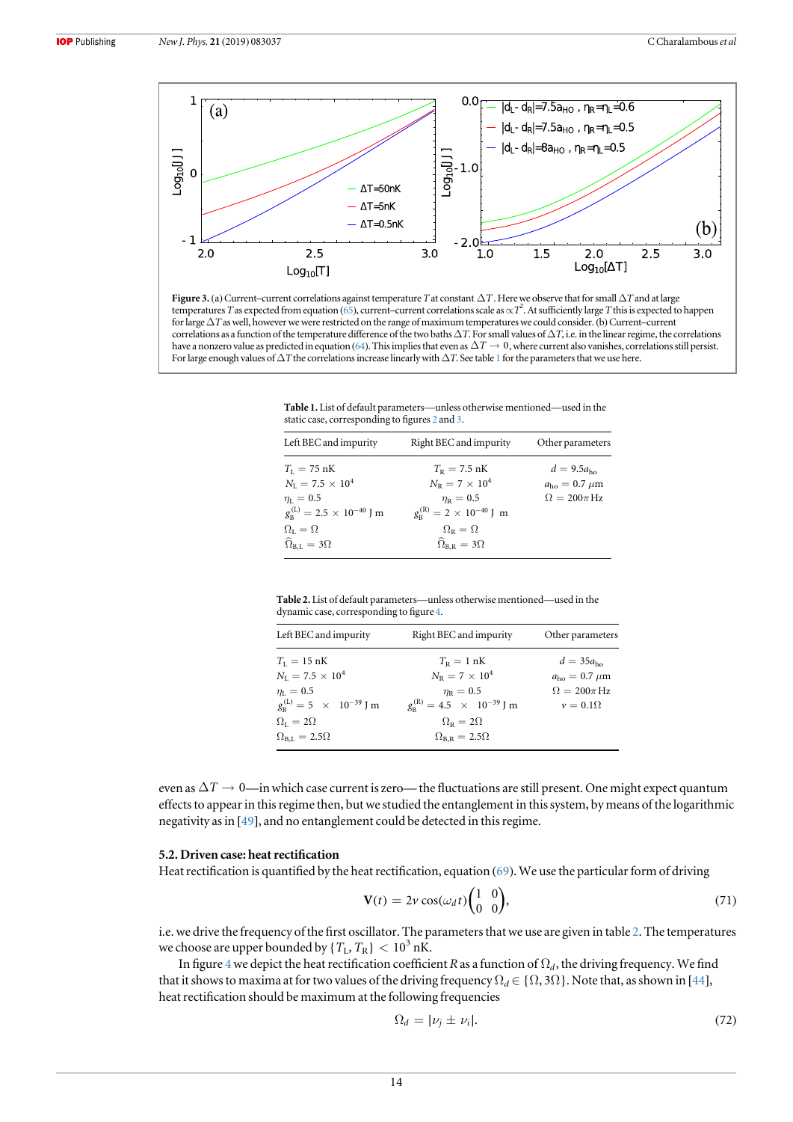<span id="page-14-0"></span>

Figure 3. (a) Current-current correlations against temperature T at constant ΔT. Here we observe that for small ΔT and at large temperatures T as expected from equation ([65](#page-11-0)), current–current correlations scale as  $\propto T^2$ . At sufficiently large T this is expected to happen for large  $\Delta T$  as well, however we were restricted on the range of maximum temperatures we could consider. (b) Current–current correlations as a function of the temperature difference of the two baths  $\Delta T$ . For small values of  $\Delta T$ , i.e. in the linear regime, the correlations have a nonzero value as predicted in equation ([64](#page-11-0)). This implies that even as  $\Delta T \rightarrow 0$ , where current also vanishes, correlations still persist. For large enough values of  $\Delta T$  the correlations increase linearly with  $\Delta T$ . See table 1 for the parameters that we use here.

Table 1. List of default parameters—unless otherwise mentioned—used in the static case, corresponding to figures [2](#page-13-0) and 3.

| Left BEC and impurity                           | Right BEC and impurity                        | Other parameters               |
|-------------------------------------------------|-----------------------------------------------|--------------------------------|
| $T_{I} = 75 \text{ nK}$                         | $T_{\rm R} = 7.5 \text{ nK}$                  | $d = 9.5a_{\rm bo}$            |
| $N_{I} = 7.5 \times 10^{4}$                     | $N_{\rm R} = 7 \times 10^4$                   | $a_{\rm ho} = 0.7 \ \mu \rm m$ |
| $m_{\rm L} = 0.5$                               | $\eta_{\rm R} = 0.5$                          | $\Omega = 200\pi \text{ Hz}$   |
| $g_{\rm B}^{\rm (L)} = 2.5 \times 10^{-40}$ J m | $g_{\rm R}^{(\rm R)} = 2 \times 10^{-40}$ J m |                                |
| $\Omega_{\rm L}=\Omega$                         | $\Omega_{\rm R}=\Omega$                       |                                |
| $\widehat{\Omega}_{\text{B.L}} = 3\Omega$       | $\widehat{\Omega}_{B,R} = 3\Omega$            |                                |

Table 2. List of default parameters—unless otherwise mentioned—used in the dynamic case, corresponding to figure [4.](#page-15-0)

| Left BEC and impurity                                                                                                                                                                          | Right BEC and impurity                                                                                                                                                                    | Other parameters                                                                                    |
|------------------------------------------------------------------------------------------------------------------------------------------------------------------------------------------------|-------------------------------------------------------------------------------------------------------------------------------------------------------------------------------------------|-----------------------------------------------------------------------------------------------------|
| $T_{\rm L} = 15 \, \rm nK$<br>$N_{\rm I} = 7.5 \times 10^4$<br>$\eta_{\rm L}=0.5$<br>$g_{\rm B}^{\rm (L)} = 5 \times 10^{-39}$ J m<br>$\Omega_{\rm L}=2\Omega$<br>$\Omega_{\rm B,L}=2.5\Omega$ | $T_{\rm R} = 1$ nK<br>$N_{\rm p} = 7 \times 10^4$<br>$\eta_{\rm R} = 0.5$<br>$g_{\rm R}^{(\rm R)} = 4.5 \times 10^{-39}$ J m<br>$\Omega_{\rm R}=2\Omega$<br>$\Omega_{\rm BR} = 2.5\Omega$ | $d = 35a_{\text{ho}}$<br>$a_{\rm ho} = 0.7 \mu m$<br>$\Omega = 200\pi \text{Hz}$<br>$v = 0.1\Omega$ |
|                                                                                                                                                                                                |                                                                                                                                                                                           |                                                                                                     |

even as  $\Delta T \to 0$ —in which case current is zero— the fluctuations are still present. One might expect quantum effects to appear in this regime then, but we studied the entanglement in this system, by means of the logarithmic negativity as in [[49](#page-18-0)], and no entanglement could be detected in this regime.

#### 5.2. Driven case: heat rectification

Heat rectification is quantified by the heat rectification, equation ([69](#page-11-0)). We use the particular form of driving

$$
\mathbf{V}(t) = 2v \cos(\omega_d t) \begin{pmatrix} 1 & 0 \\ 0 & 0 \end{pmatrix},\tag{71}
$$

i.e. we drive the frequency of the first oscillator. The parameters that we use are given in table 2. The temperatures we choose are upper bounded by { $T_L, T_R$ } < 10<sup>3</sup> nK.

In figure [4](#page-15-0) we depict the heat rectification coefficient R as a function of  $\Omega_d$ , the driving frequency. We find that it shows to maxima at for two values of the driving frequency  $\Omega_d \in \{\Omega, 3\Omega\}$ . Note that, as shown in [[44](#page-17-0)], heat rectification should be maximum at the following frequencies

$$
\Omega_d = |\nu_j \pm \nu_i|. \tag{72}
$$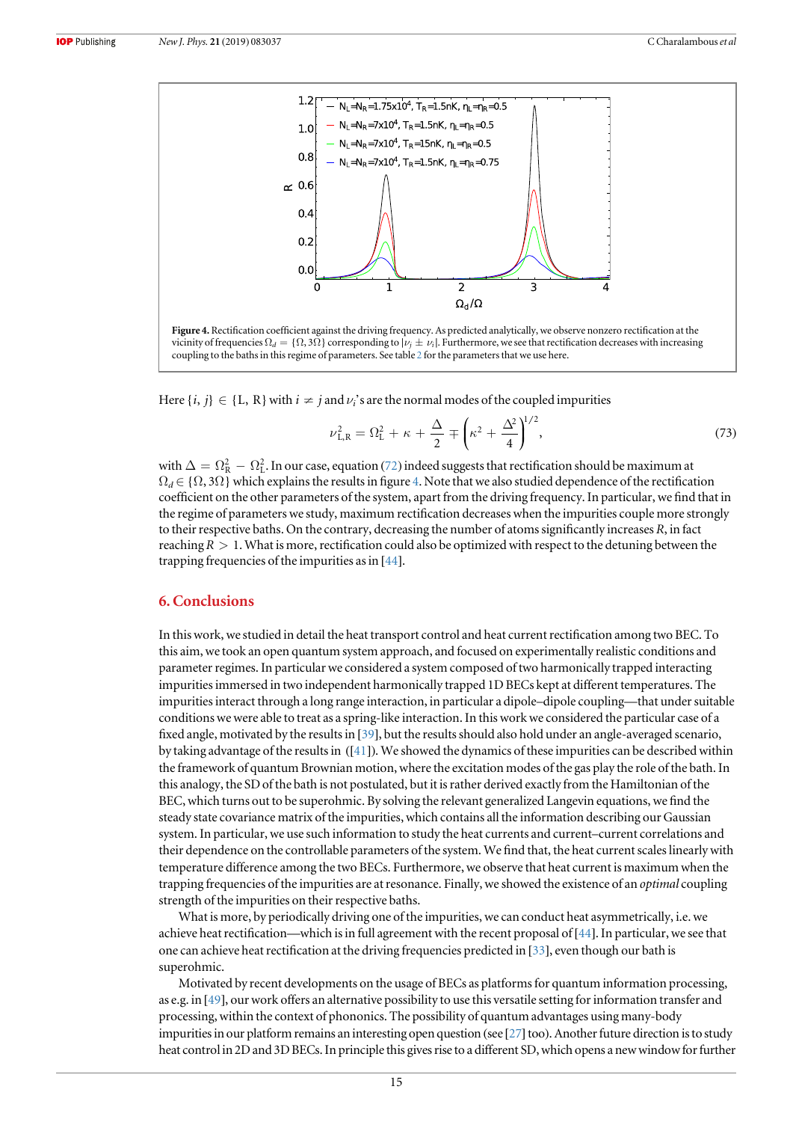<span id="page-15-0"></span>

Here  $\{i, j\} \in \{L, R\}$  with  $i \neq j$  and  $\nu_i$ 's are the normal modes of the coupled impurities

$$
\nu_{\rm L,R}^2 = \Omega_{\rm L}^2 + \kappa + \frac{\Delta}{2} \mp \left(\kappa^2 + \frac{\Delta^2}{4}\right)^{1/2},\tag{73}
$$

with  $\Delta=\Omega_{\rm R}^2-\Omega_{\rm L}^2$ . In our case, equation ([72](#page-14-0)) indeed suggests that rectification should be maximum at  $\Omega_d \in \{\Omega, 3\Omega\}$  which explains the results in figure 4. Note that we also studied dependence of the rectification coefficient on the other parameters of the system, apart from the driving frequency. In particular, we find that in the regime of parameters we study, maximum rectification decreases when the impurities couple more strongly to their respective baths. On the contrary, decreasing the number of atoms significantly increases R, in fact reaching  $R > 1$ . What is more, rectification could also be optimized with respect to the detuning between the trapping frequencies of the impurities as in [[44](#page-17-0)].

## 6. Conclusions

In this work, we studied in detail the heat transport control and heat current rectification among two BEC. To this aim, we took an open quantum system approach, and focused on experimentally realistic conditions and parameter regimes. In particular we considered a system composed of two harmonically trapped interacting impurities immersed in two independent harmonically trapped 1D BECs kept at different temperatures. The impurities interact through a long range interaction, in particular a dipole–dipole coupling—that under suitable conditions we were able to treat as a spring-like interaction. In this work we considered the particular case of a fixed angle, motivated by the results in [[39](#page-17-0)], but the results should also hold under an angle-averaged scenario, by taking advantage of the results in ([[41](#page-17-0)]). We showed the dynamics of these impurities can be described within the framework of quantum Brownian motion, where the excitation modes of the gas play the role of the bath. In this analogy, the SD of the bath is not postulated, but it is rather derived exactly from the Hamiltonian of the BEC, which turns out to be superohmic. By solving the relevant generalized Langevin equations, we find the steady state covariance matrix of the impurities, which contains all the information describing our Gaussian system. In particular, we use such information to study the heat currents and current–current correlations and their dependence on the controllable parameters of the system. We find that, the heat current scales linearly with temperature difference among the two BECs. Furthermore, we observe that heat current is maximum when the trapping frequencies of the impurities are at resonance. Finally, we showed the existence of an *optimal* coupling strength of the impurities on their respective baths.

What is more, by periodically driving one of the impurities, we can conduct heat asymmetrically, i.e. we achieve heat rectification—which is in full agreement with the recent proposal of[[44](#page-17-0)]. In particular, we see that one can achieve heat rectification at the driving frequencies predicted in [[33](#page-17-0)], even though our bath is superohmic.

Motivated by recent developments on the usage of BECs as platforms for quantum information processing, as e.g. in [[49](#page-18-0)], our work offers an alternative possibility to use this versatile setting for information transfer and processing, within the context of phononics. The possibility of quantum advantages using many-body impurities in our platform remains an interesting open question (see  $[27]$  $[27]$  $[27]$  too). Another future direction is to study heat control in 2D and 3D BECs. In principle this gives rise to a different SD, which opens a new window for further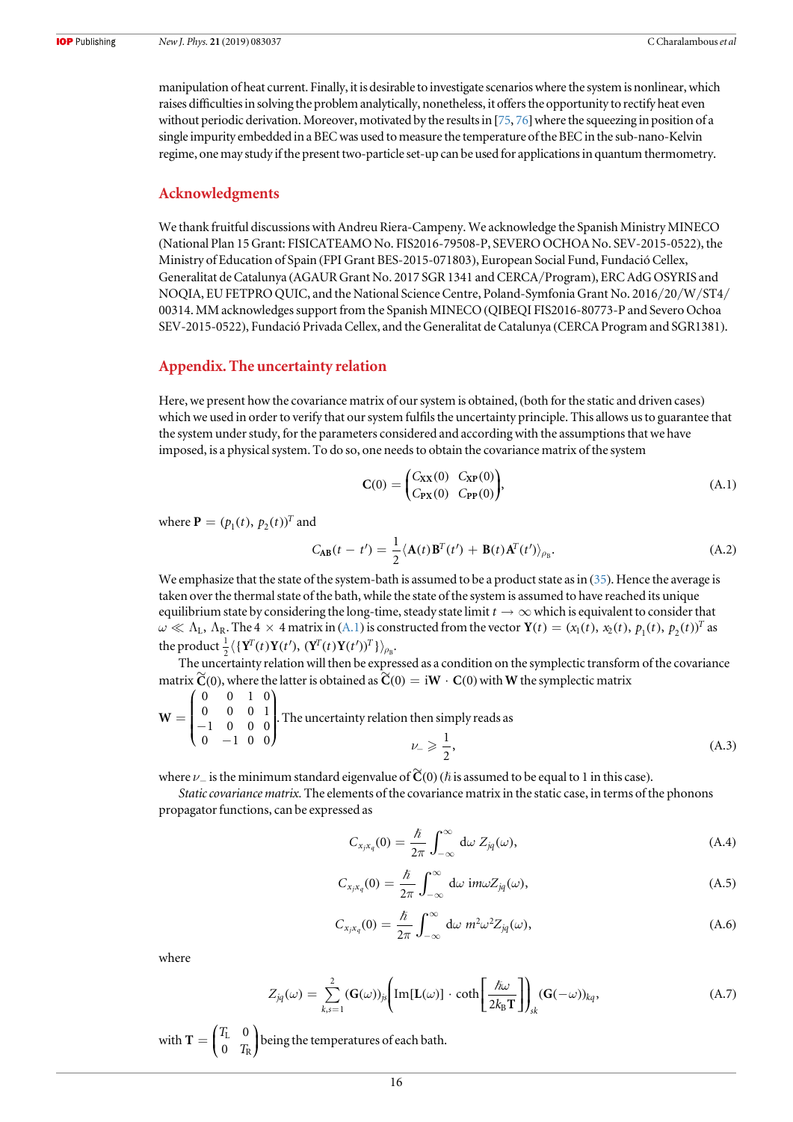<span id="page-16-0"></span>manipulation of heat current. Finally, it is desirable to investigate scenarios where the system is nonlinear, which raises difficulties in solving the problem analytically, nonetheless, it offers the opportunity to rectify heat even without periodic derivation. Moreover, motivated by the results in  $[75, 76]$  $[75, 76]$  $[75, 76]$  $[75, 76]$  $[75, 76]$  where the squeezing in position of a single impurity embedded in a BEC was used to measure the temperature of the BEC in the sub-nano-Kelvin regime, one may study if the present two-particle set-up can be used for applications in quantum thermometry.

## Acknowledgments

We thank fruitful discussions with Andreu Riera-Campeny. We acknowledge the Spanish Ministry MINECO (National Plan 15 Grant: FISICATEAMO No. FIS2016-79508-P, SEVERO OCHOA No. SEV-2015-0522), the Ministry of Education of Spain (FPI Grant BES-2015-071803), European Social Fund, Fundació Cellex, Generalitat de Catalunya (AGAUR Grant No. 2017 SGR 1341 and CERCA/Program), ERC AdG OSYRIS and NOQIA, EU FETPRO QUIC, and the National Science Centre, Poland-Symfonia Grant No. 2016/20/W/ST4/ 00314. MM acknowledges support from the Spanish MINECO (QIBEQI FIS2016-80773-P and Severo Ochoa SEV-2015-0522), Fundació Privada Cellex, and the Generalitat de Catalunya (CERCA Program and SGR1381).

## Appendix. The uncertainty relation

Here, we present how the covariance matrix of our system is obtained, (both for the static and driven cases) which we used in order to verify that our system fulfils the uncertainty principle. This allows us to guarantee that the system under study, for the parameters considered and according with the assumptions that we have imposed, is a physical system. To do so, one needs to obtain the covariance matrix of the system

$$
C(0) = \begin{pmatrix} C_{XX}(0) & C_{XP}(0) \\ C_{PX}(0) & C_{PP}(0) \end{pmatrix},
$$
 (A.1)

where  $\mathbf{P} = (p_1(t), p_2(t))^T$  and

$$
C_{\mathbf{AB}}(t - t') = \frac{1}{2} \langle \mathbf{A}(t) \mathbf{B}^T(t') + \mathbf{B}(t) \mathbf{A}^T(t') \rangle_{\rho_{\mathbf{B}}}.
$$
 (A.2)

We emphasize that the state of the system-bath is assumed to be a product state as in ([35](#page-6-0)). Hence the average is taken over the thermal state of the bath, while the state of the system is assumed to have reached its unique equilibrium state by considering the long-time, steady state limit  $t \to \infty$  which is equivalent to consider that  $\omega \ll \Lambda_L$ ,  $\Lambda_R$ . The 4  $\times$  4 matrix in (A.1) is constructed from the vector **Y**(*t*) = ( $x_1(t)$ ,  $x_2(t)$ ,  $p_1(t)$ ,  $p_2(t)$ )<sup>T</sup> as the product  $\frac{1}{2}\langle \{ \mathbf{Y}^T(t) \mathbf{Y}(t'), \, (\mathbf{Y}^T(t) \mathbf{Y}(t'))^T \} \rangle_{\rho_B}$ .

The uncertainty relation will then be expressed as a condition on the symplectic transform of the covariance matrix  $\widetilde{C}(0)$ , where the latter is obtained as  $\widetilde{C}(0) = iW \cdot C(0)$  with W the symplectic matrix

$$
\mathbf{W} = \begin{pmatrix} 0 & 0 & 1 & 0 \\ 0 & 0 & 0 & 1 \\ -1 & 0 & 0 & 0 \\ 0 & -1 & 0 & 0 \end{pmatrix}.
$$
 The uncertainty relation then simply reads as  

$$
\nu_{-} \geq \frac{1}{2},
$$
 (A.3)

where  $\nu_-$  is the minimum standard eigenvalue of  $\widetilde{\mathbf{C}}(0)$  ( $\hbar$  is assumed to be equal to 1 in this case).

Static covariance matrix. The elements of the covariance matrix in the static case, in terms of the phonons propagator functions, can be expressed as

$$
C_{x_j x_q}(0) = \frac{\hbar}{2\pi} \int_{-\infty}^{\infty} d\omega Z_{jq}(\omega), \qquad (A.4)
$$

$$
C_{x_j x_q}(0) = \frac{\hbar}{2\pi} \int_{-\infty}^{\infty} d\omega \, i m \omega Z_{jq}(\omega), \tag{A.5}
$$

$$
C_{x_j x_q}(0) = \frac{\hbar}{2\pi} \int_{-\infty}^{\infty} d\omega \; m^2 \omega^2 Z_{jq}(\omega), \tag{A.6}
$$

where

$$
Z_{jq}(\omega) = \sum_{k,s=1}^{2} (\mathbf{G}(\omega))_{js} \Bigg[ Im[\mathbf{L}(\omega)] \cdot \coth\Bigg[\frac{\hbar\omega}{2k_B\mathbf{T}}\Bigg]\Bigg]_{sk} (\mathbf{G}(-\omega))_{kq}, \tag{A.7}
$$

with  $\mathbf{T} = \begin{pmatrix} T_\mathrm{L} & 0 \ 0 & T_\mathrm{R} \end{pmatrix}$ L  $R_{R}$  being the temperatures of each bath.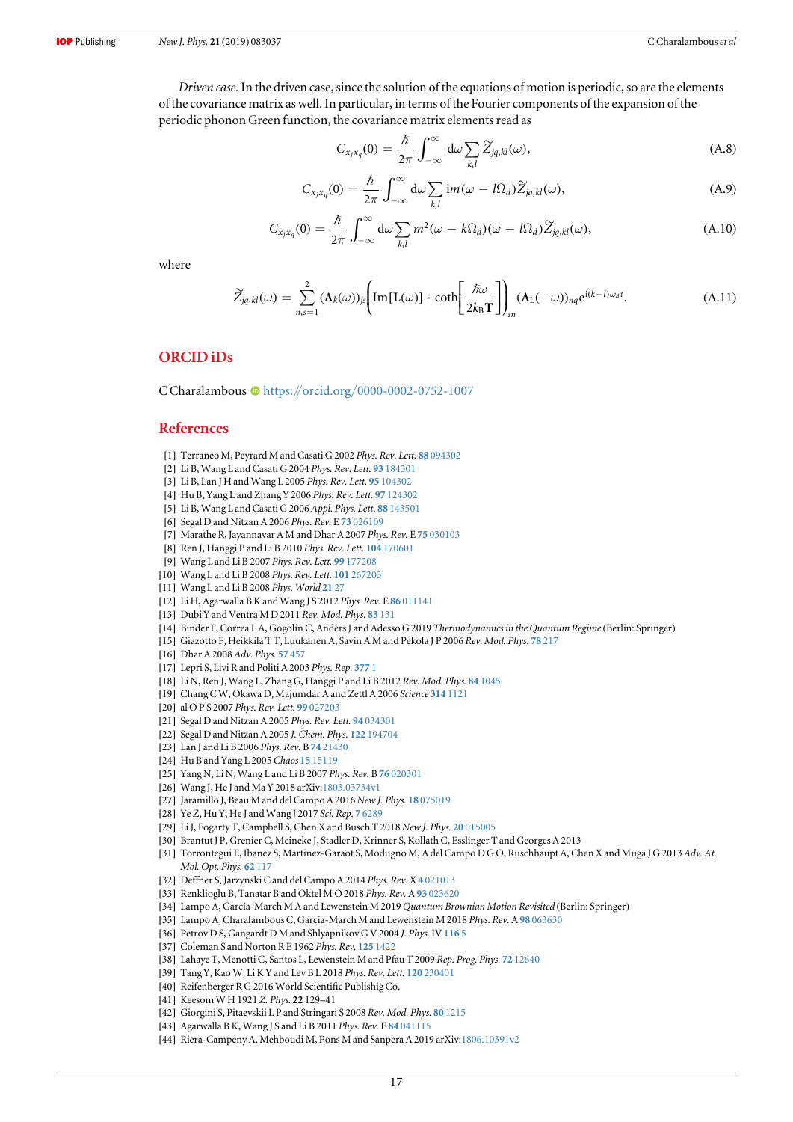<span id="page-17-0"></span>Driven case.In the driven case, since the solution of the equations of motion is periodic, so are the elements of the covariance matrix as well. In particular, in terms of the Fourier components of the expansion of the periodic phonon Green function, the covariance matrix elements read as

$$
C_{x_j x_q}(0) = \frac{\hbar}{2\pi} \int_{-\infty}^{\infty} d\omega \sum_{k,l} \widetilde{Z}_{jq,kl}(\omega), \qquad (A.8)
$$

$$
C_{x_j x_q}(0) = \frac{\hbar}{2\pi} \int_{-\infty}^{\infty} d\omega \sum_{k,l} \mathrm{im}(\omega - l\Omega_d) \widetilde{Z}_{jq,kl}(\omega), \tag{A.9}
$$

$$
C_{x_j x_q}(0) = \frac{\hbar}{2\pi} \int_{-\infty}^{\infty} d\omega \sum_{k,l} m^2(\omega - k\Omega_d)(\omega - l\Omega_d) \widetilde{Z}_{jq,kl}(\omega), \tag{A.10}
$$

where

$$
\widetilde{Z}_{jq,kl}(\omega) = \sum_{n,s=1}^{2} (\mathbf{A}_k(\omega))_{js} \Bigg[ \text{Im}[\mathbf{L}(\omega)] \cdot \coth\Bigg[ \frac{\hbar \omega}{2k_B T} \Bigg] \Bigg]_{sn} (\mathbf{A}_{\mathbf{L}}(-\omega))_{nq} e^{i(k-l)\omega_d t}.
$$
\n(A.11)

## ORCID iDs

C Charalambou[s](https://orcid.org/0000-0002-0752-1007)  $\bullet$  [https:](https://orcid.org/0000-0002-0752-1007)//orcid.org/[0000-0002-0752-1007](https://orcid.org/0000-0002-0752-1007)

## References

- [1] Terraneo M, Peyrard M and Casati G 2002 Phys. Rev. Lett. 88 [094302](https://doi.org/10.1103/PhysRevLett.88.094302)
- [2] Li B, Wang L and Casati G 2004 Phys. Rev. Lett. 93 [184301](https://doi.org/10.1103/PhysRevLett.93.184301)
- [3] Li B, Lan J H and Wang L 2005 Phys. Rev. Lett. 95 [104302](https://doi.org/10.1103/PhysRevLett.95.104302)
- [4] Hu B, Yang L and Zhang Y 2006 Phys. Rev. Lett. 97 [124302](https://doi.org/10.1103/PhysRevLett.97.124302)
- [5] Li B, Wang L and Casati G 2006 Appl. Phys. Lett. 88 [143501](https://doi.org/10.1063/1.2191730)
- [6] Segal D and Nitzan A 2006 Phys. Rev. E 73 [026109](https://doi.org/10.1103/PhysRevE.73.026109)
- [7] Marathe R, Jayannavar A M and Dhar A 2007 Phys. Rev. E 75 [030103](https://doi.org/10.1103/PhysRevE.75.030103)
- [8] Ren J, Hanggi P and Li B 2010 Phys. Rev. Lett. 104 [170601](https://doi.org/10.1103/PhysRevLett.104.170601)
- [9] Wang L and Li B 2007 Phys. Rev. Lett. 99 [177208](https://doi.org/10.1103/PhysRevLett.99.177208)
- [10] Wang L and Li B 2008 Phys. Rev. Lett. 101 [267203](https://doi.org/10.1103/PhysRevLett.101.267203)
- [11] Wang L and Li B 2008 Phys. World [21](https://doi.org/10.1088/2058-7058/21/03/31) 27
- [12] Li H, Agarwalla B K and Wang J S 2012 Phys. Rev. E 86 [011141](https://doi.org/10.1103/PhysRevE.86.011141)
- [13] Dubi Y and Ventra M D 2011 Rev. Mod. Phys. 83 [131](https://doi.org/10.1103/RevModPhys.83.131)
- [14] Binder F, Correa L A, Gogolin C, Anders J and Adesso G 2019 Thermodynamics in the Quantum Regime(Berlin: Springer)
- [15] Giazotto F, Heikkila T T, Luukanen A, Savin A M and Pekola J P 2006 Rev. Mod. Phys. 78 [217](https://doi.org/10.1103/RevModPhys.78.217)
- [16] Dhar A 2008 Adv. Phys. 57 [457](https://doi.org/10.1080/00018730802538522)
- [17] Lepri S, Livi R and Politi A 2003 Phys. Rep. [377](https://doi.org/10.1016/S0370-1573(02)00558-6) 1
- [18] Li N, Ren J, Wang L, Zhang G, Hanggi P and Li B 2012 Rev. Mod. Phys. 84 [1045](https://doi.org/10.1103/RevModPhys.84.1045)
- [19] Chang C W, Okawa D, Majumdar A and Zettl A 2006 Science 314 [1121](https://doi.org/10.1126/science.1132898)
- [20] al O P S 2007 Phys. Rev. Lett. 99 [027203](https://doi.org/10.1103/PhysRevLett.99.027203)
- [21] Segal D and Nitzan A 2005 Phys. Rev. Lett. 94 [034301](https://doi.org/10.1103/PhysRevLett.94.034301)
- [22] Segal D and Nitzan A 2005 J. Chem. Phys. 122 [194704](https://doi.org/10.1063/1.1900063)
- [23] Lan J and Li B 2006 Phys. Rev. B 74 [21430](https://doi.org/10.1103/PhysRevB.74.214305)
- [24] Hu B and Yang L 2005 Chaos 15 [15119](https://doi.org/10.1063/1.1862552)
- [25] Yang N, Li N, Wang L and Li B 2007 Phys. Rev. B 76 [020301](https://doi.org/10.1103/PhysRevB.76.020301)
- [26] Wang J, He J and Ma Y 2018 arXiv[:1803.03734v1](http://arxiv.org/abs/1803.03734v1)
- [27] Jaramillo J, Beau M and del Campo A 2016 New J. Phys. 18 [075019](https://doi.org/10.1088/1367-2630/18/7/075019)
- [28] Ye Z, Hu Y, He J and Wang J 2017 Sci. Rep. 7 [6289](https://doi.org/10.1038/s41598-017-06615-z)
- [29] Li J, Fogarty T, Campbell S, Chen X and Busch T 2018 New J, Phys. 20 [015005](https://doi.org/10.1088/1367-2630/aa9cd8)
- [30] Brantut J P, Grenier C, Meineke J, Stadler D, Krinner S, Kollath C, Esslinger T and Georges A 2013
- [31] Torrontegui E, Ibanez S, Martinez-Garaot S, Modugno M, A del Campo D G O, Ruschhaupt A, Chen X and Muga J G 2013Adv. At. Mol. Opt. Phys. 62 [117](https://doi.org/10.1016/B978-0-12-408090-4.00002-5)
- [32] Deffner S, Jarzynski C and del Campo A 2014 Phys. Rev. X 4 [021013](https://doi.org/10.1103/PhysRevX.4.021013)
- [33] Renklioglu B, Tanatar B and Oktel M O 2018 Phys. Rev. A 93 [023620](https://doi.org/10.1103/PhysRevA.93.023620)
- [34] Lampo A, García-March M A and Lewenstein M 2019 Quantum Brownian Motion Revisited (Berlin: Springer)
- [35] Lampo A, Charalambous C, Garcia-March M and Lewenstein M 2018 Phys. Rev. A 98 [063630](https://doi.org/10.1103/PhysRevA.98.063630)
- [36] Petrov D S, Gangardt D M and Shlyapnikov G V 2004 J. Phys. IV [116](https://doi.org/10.1051/jp4:2004116001)5
- [37] Coleman S and Norton R E 1962 Phys. Rev. 125 [1422](https://doi.org/10.1103/PhysRev.125.1422)
- [38] Lahaye T, Menotti C, Santos L, Lewenstein M and Pfau T 2009 Rep. Prog. Phys. 72 [12640](https://doi.org/10.1088/0034-4885/72/12/126401)
- [39] Tang Y, Kao W, Li K Y and Lev B L 2018 Phys. Rev. Lett. 120 [230401](https://doi.org/10.1103/PhysRevLett.120.230401)
- [40] Reifenberger R G 2016 World Scientific Publishig Co.
- [41] Keesom W H 1921 Z. Phys. 22 129–41
- [42] Giorgini S, Pitaevskii L P and Stringari S 2008 Rev. Mod. Phys. 80 [1215](https://doi.org/10.1103/RevModPhys.80.1215)
- [43] Agarwalla B K, Wang J S and Li B 2011 Phys. Rev. E 84 [041115](https://doi.org/10.1103/PhysRevE.84.041115)
- [44] Riera-Campeny A, Mehboudi M, Pons M and Sanpera A 2019 arXiv[:1806.10391v2](http://arxiv.org/abs/1806.10391v2)